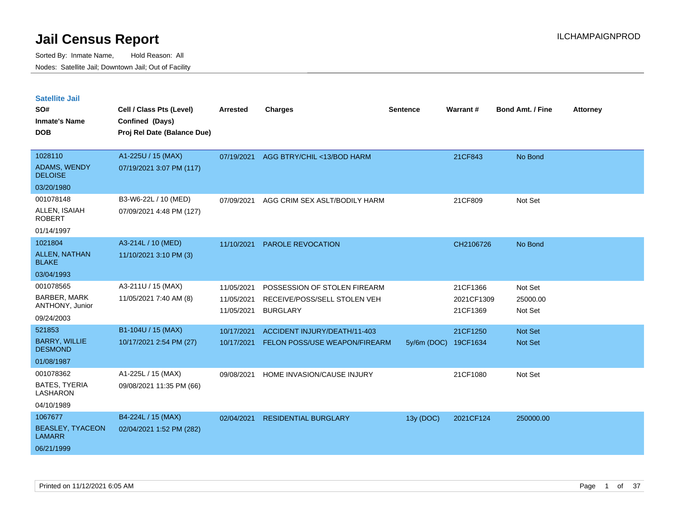| <b>Satellite Jail</b>                  |                             |                          |                                                 |             |                        |                         |                 |
|----------------------------------------|-----------------------------|--------------------------|-------------------------------------------------|-------------|------------------------|-------------------------|-----------------|
| SO#                                    | Cell / Class Pts (Level)    | Arrested                 | <b>Charges</b>                                  | Sentence    | Warrant#               | <b>Bond Amt. / Fine</b> | <b>Attorney</b> |
| Inmate's Name                          | Confined (Days)             |                          |                                                 |             |                        |                         |                 |
| <b>DOB</b>                             | Proj Rel Date (Balance Due) |                          |                                                 |             |                        |                         |                 |
| 1028110                                | A1-225U / 15 (MAX)          | 07/19/2021               | AGG BTRY/CHIL <13/BOD HARM                      |             | 21CF843                | No Bond                 |                 |
| <b>ADAMS, WENDY</b><br><b>DELOISE</b>  | 07/19/2021 3:07 PM (117)    |                          |                                                 |             |                        |                         |                 |
| 03/20/1980                             |                             |                          |                                                 |             |                        |                         |                 |
| 001078148                              | B3-W6-22L / 10 (MED)        | 07/09/2021               | AGG CRIM SEX ASLT/BODILY HARM                   |             | 21CF809                | Not Set                 |                 |
| ALLEN, ISAIAH<br>ROBERT                | 07/09/2021 4:48 PM (127)    |                          |                                                 |             |                        |                         |                 |
| 01/14/1997                             |                             |                          |                                                 |             |                        |                         |                 |
| 1021804                                | A3-214L / 10 (MED)          | 11/10/2021               | PAROLE REVOCATION                               |             | CH2106726              | No Bond                 |                 |
| <b>ALLEN, NATHAN</b><br><b>BLAKE</b>   | 11/10/2021 3:10 PM (3)      |                          |                                                 |             |                        |                         |                 |
| 03/04/1993                             |                             |                          |                                                 |             |                        |                         |                 |
| 001078565                              | A3-211U / 15 (MAX)          | 11/05/2021               | POSSESSION OF STOLEN FIREARM                    |             | 21CF1366               | Not Set                 |                 |
| BARBER, MARK<br>ANTHONY, Junior        | 11/05/2021 7:40 AM (8)      | 11/05/2021<br>11/05/2021 | RECEIVE/POSS/SELL STOLEN VEH<br><b>BURGLARY</b> |             | 2021CF1309<br>21CF1369 | 25000.00<br>Not Set     |                 |
| 09/24/2003                             |                             |                          |                                                 |             |                        |                         |                 |
| 521853                                 | B1-104U / 15 (MAX)          | 10/17/2021               | ACCIDENT INJURY/DEATH/11-403                    |             | 21CF1250               | <b>Not Set</b>          |                 |
| <b>BARRY, WILLIE</b><br><b>DESMOND</b> | 10/17/2021 2:54 PM (27)     | 10/17/2021               | <b>FELON POSS/USE WEAPON/FIREARM</b>            | 5y/6m (DOC) | 19CF1634               | <b>Not Set</b>          |                 |
| 01/08/1987                             |                             |                          |                                                 |             |                        |                         |                 |
| 001078362                              | A1-225L / 15 (MAX)          | 09/08/2021               | HOME INVASION/CAUSE INJURY                      |             | 21CF1080               | Not Set                 |                 |
| BATES, TYERIA<br>LASHARON              | 09/08/2021 11:35 PM (66)    |                          |                                                 |             |                        |                         |                 |
| 04/10/1989                             |                             |                          |                                                 |             |                        |                         |                 |
| 1067677                                | B4-224L / 15 (MAX)          | 02/04/2021               | <b>RESIDENTIAL BURGLARY</b>                     | 13y (DOC)   | 2021CF124              | 250000.00               |                 |
| <b>BEASLEY, TYACEON</b><br>LAMARR      | 02/04/2021 1:52 PM (282)    |                          |                                                 |             |                        |                         |                 |
| 06/21/1999                             |                             |                          |                                                 |             |                        |                         |                 |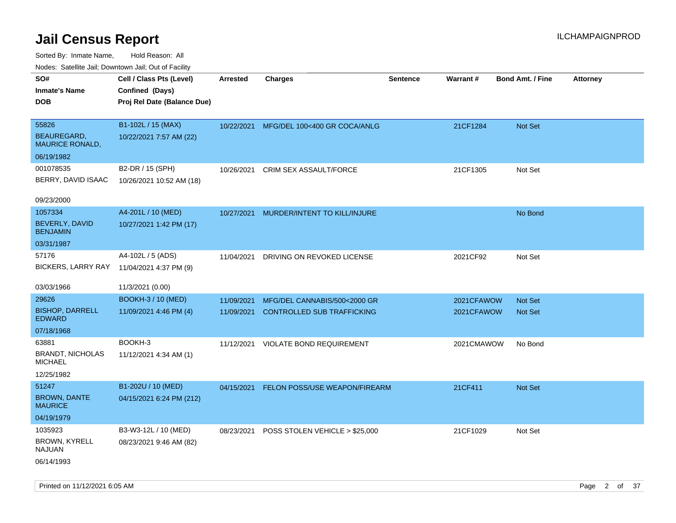Sorted By: Inmate Name, Hold Reason: All Nodes: Satellite Jail; Downtown Jail; Out of Facility

| ivouss. Satellite Jali, Downtown Jali, Out of Facility |                             |                 |                                          |                 |            |                         |                 |
|--------------------------------------------------------|-----------------------------|-----------------|------------------------------------------|-----------------|------------|-------------------------|-----------------|
| SO#                                                    | Cell / Class Pts (Level)    | <b>Arrested</b> | <b>Charges</b>                           | <b>Sentence</b> | Warrant#   | <b>Bond Amt. / Fine</b> | <b>Attorney</b> |
| <b>Inmate's Name</b>                                   | Confined (Days)             |                 |                                          |                 |            |                         |                 |
| <b>DOB</b>                                             | Proj Rel Date (Balance Due) |                 |                                          |                 |            |                         |                 |
|                                                        |                             |                 |                                          |                 |            |                         |                 |
| 55826                                                  | B1-102L / 15 (MAX)          |                 | 10/22/2021 MFG/DEL 100<400 GR COCA/ANLG  |                 | 21CF1284   | <b>Not Set</b>          |                 |
| BEAUREGARD.<br><b>MAURICE RONALD,</b>                  | 10/22/2021 7:57 AM (22)     |                 |                                          |                 |            |                         |                 |
| 06/19/1982                                             |                             |                 |                                          |                 |            |                         |                 |
| 001078535                                              | B2-DR / 15 (SPH)            | 10/26/2021      | CRIM SEX ASSAULT/FORCE                   |                 | 21CF1305   | Not Set                 |                 |
| BERRY, DAVID ISAAC                                     | 10/26/2021 10:52 AM (18)    |                 |                                          |                 |            |                         |                 |
|                                                        |                             |                 |                                          |                 |            |                         |                 |
| 09/23/2000                                             |                             |                 |                                          |                 |            |                         |                 |
| 1057334                                                | A4-201L / 10 (MED)          | 10/27/2021      | MURDER/INTENT TO KILL/INJURE             |                 |            | No Bond                 |                 |
| BEVERLY, DAVID<br><b>BENJAMIN</b>                      | 10/27/2021 1:42 PM (17)     |                 |                                          |                 |            |                         |                 |
| 03/31/1987                                             |                             |                 |                                          |                 |            |                         |                 |
| 57176                                                  | A4-102L / 5 (ADS)           | 11/04/2021      | DRIVING ON REVOKED LICENSE               |                 | 2021CF92   | Not Set                 |                 |
| BICKERS, LARRY RAY                                     | 11/04/2021 4:37 PM (9)      |                 |                                          |                 |            |                         |                 |
|                                                        |                             |                 |                                          |                 |            |                         |                 |
| 03/03/1966                                             | 11/3/2021 (0.00)            |                 |                                          |                 |            |                         |                 |
| 29626                                                  | <b>BOOKH-3 / 10 (MED)</b>   | 11/09/2021      | MFG/DEL CANNABIS/500<2000 GR             |                 | 2021CFAWOW | <b>Not Set</b>          |                 |
| <b>BISHOP, DARRELL</b><br><b>EDWARD</b>                | 11/09/2021 4:46 PM (4)      | 11/09/2021      | <b>CONTROLLED SUB TRAFFICKING</b>        |                 | 2021CFAWOW | <b>Not Set</b>          |                 |
| 07/18/1968                                             |                             |                 |                                          |                 |            |                         |                 |
| 63881                                                  | BOOKH-3                     |                 | 11/12/2021 VIOLATE BOND REQUIREMENT      |                 | 2021CMAWOW | No Bond                 |                 |
| <b>BRANDT, NICHOLAS</b><br>MICHAEL                     | 11/12/2021 4:34 AM (1)      |                 |                                          |                 |            |                         |                 |
| 12/25/1982                                             |                             |                 |                                          |                 |            |                         |                 |
| 51247                                                  | B1-202U / 10 (MED)          |                 | 04/15/2021 FELON POSS/USE WEAPON/FIREARM |                 | 21CF411    | <b>Not Set</b>          |                 |
| <b>BROWN, DANTE</b><br>MAURICE                         | 04/15/2021 6:24 PM (212)    |                 |                                          |                 |            |                         |                 |
| 04/19/1979                                             |                             |                 |                                          |                 |            |                         |                 |
| 1035923                                                | B3-W3-12L / 10 (MED)        | 08/23/2021      | POSS STOLEN VEHICLE > \$25,000           |                 | 21CF1029   | Not Set                 |                 |
| <b>BROWN, KYRELL</b><br>NAJUAN                         | 08/23/2021 9:46 AM (82)     |                 |                                          |                 |            |                         |                 |
| 06/14/1993                                             |                             |                 |                                          |                 |            |                         |                 |
|                                                        |                             |                 |                                          |                 |            |                         |                 |

Printed on 11/12/2021 6:05 AM **Page 2 of 37**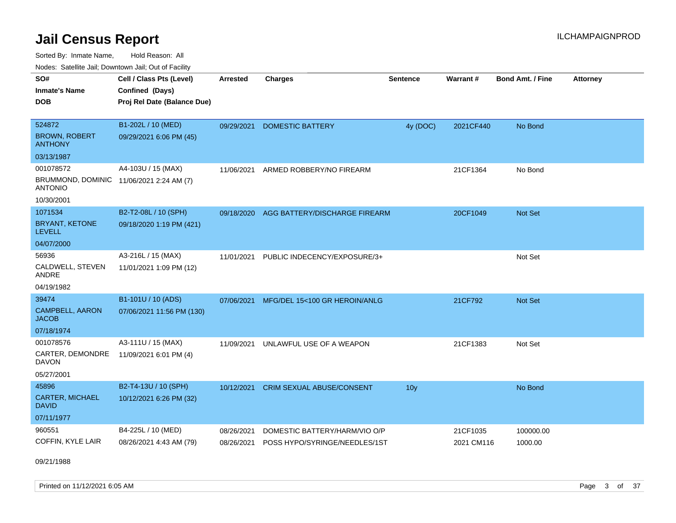Sorted By: Inmate Name, Hold Reason: All Nodes: Satellite Jail; Downtown Jail; Out of Facility

| Noucs. Calcillic Jail, Downtown Jail, Out of Facility      |                             |                 |                                  |                 |            |                         |                 |
|------------------------------------------------------------|-----------------------------|-----------------|----------------------------------|-----------------|------------|-------------------------|-----------------|
| SO#                                                        | Cell / Class Pts (Level)    | <b>Arrested</b> | <b>Charges</b>                   | <b>Sentence</b> | Warrant#   | <b>Bond Amt. / Fine</b> | <b>Attorney</b> |
| <b>Inmate's Name</b>                                       | Confined (Days)             |                 |                                  |                 |            |                         |                 |
| <b>DOB</b>                                                 | Proj Rel Date (Balance Due) |                 |                                  |                 |            |                         |                 |
|                                                            |                             |                 |                                  |                 |            |                         |                 |
| 524872                                                     | B1-202L / 10 (MED)          | 09/29/2021      | <b>DOMESTIC BATTERY</b>          | 4y (DOC)        | 2021CF440  | No Bond                 |                 |
| <b>BROWN, ROBERT</b><br><b>ANTHONY</b>                     | 09/29/2021 6:06 PM (45)     |                 |                                  |                 |            |                         |                 |
| 03/13/1987                                                 |                             |                 |                                  |                 |            |                         |                 |
| 001078572                                                  | A4-103U / 15 (MAX)          | 11/06/2021      | ARMED ROBBERY/NO FIREARM         |                 | 21CF1364   | No Bond                 |                 |
| BRUMMOND, DOMINIC 11/06/2021 2:24 AM (7)<br><b>ANTONIO</b> |                             |                 |                                  |                 |            |                         |                 |
| 10/30/2001                                                 |                             |                 |                                  |                 |            |                         |                 |
| 1071534                                                    | B2-T2-08L / 10 (SPH)        | 09/18/2020      | AGG BATTERY/DISCHARGE FIREARM    |                 | 20CF1049   | <b>Not Set</b>          |                 |
| <b>BRYANT, KETONE</b><br><b>LEVELL</b>                     | 09/18/2020 1:19 PM (421)    |                 |                                  |                 |            |                         |                 |
| 04/07/2000                                                 |                             |                 |                                  |                 |            |                         |                 |
| 56936                                                      | A3-216L / 15 (MAX)          | 11/01/2021      | PUBLIC INDECENCY/EXPOSURE/3+     |                 |            | Not Set                 |                 |
| CALDWELL, STEVEN<br>ANDRE                                  | 11/01/2021 1:09 PM (12)     |                 |                                  |                 |            |                         |                 |
| 04/19/1982                                                 |                             |                 |                                  |                 |            |                         |                 |
| 39474                                                      | B1-101U / 10 (ADS)          | 07/06/2021      | MFG/DEL 15<100 GR HEROIN/ANLG    |                 | 21CF792    | <b>Not Set</b>          |                 |
| <b>CAMPBELL, AARON</b><br><b>JACOB</b>                     | 07/06/2021 11:56 PM (130)   |                 |                                  |                 |            |                         |                 |
| 07/18/1974                                                 |                             |                 |                                  |                 |            |                         |                 |
| 001078576                                                  | A3-111U / 15 (MAX)          | 11/09/2021      | UNLAWFUL USE OF A WEAPON         |                 | 21CF1383   | Not Set                 |                 |
| CARTER, DEMONDRE<br><b>DAVON</b>                           | 11/09/2021 6:01 PM (4)      |                 |                                  |                 |            |                         |                 |
| 05/27/2001                                                 |                             |                 |                                  |                 |            |                         |                 |
| 45896                                                      | B2-T4-13U / 10 (SPH)        | 10/12/2021      | <b>CRIM SEXUAL ABUSE/CONSENT</b> | 10 <sub>y</sub> |            | No Bond                 |                 |
| CARTER, MICHAEL<br><b>DAVID</b>                            | 10/12/2021 6:26 PM (32)     |                 |                                  |                 |            |                         |                 |
| 07/11/1977                                                 |                             |                 |                                  |                 |            |                         |                 |
| 960551                                                     | B4-225L / 10 (MED)          | 08/26/2021      | DOMESTIC BATTERY/HARM/VIO O/P    |                 | 21CF1035   | 100000.00               |                 |
| COFFIN, KYLE LAIR                                          | 08/26/2021 4:43 AM (79)     | 08/26/2021      | POSS HYPO/SYRINGE/NEEDLES/1ST    |                 | 2021 CM116 | 1000.00                 |                 |

09/21/1988

Printed on 11/12/2021 6:05 AM **Page 3 of 37**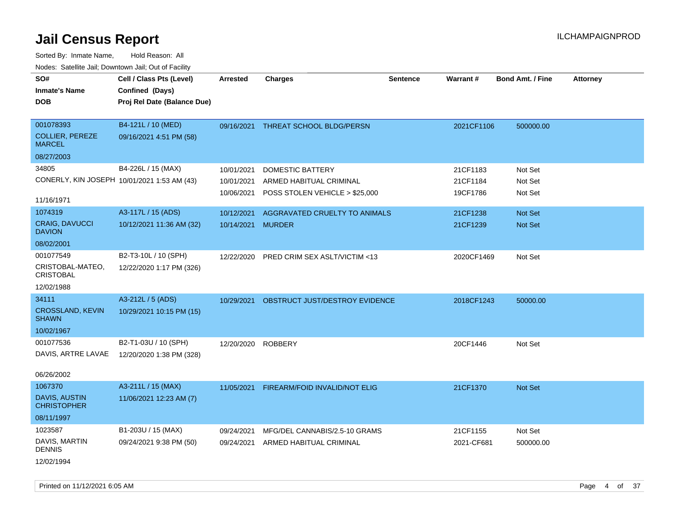| SO#                                         | Cell / Class Pts (Level)    | <b>Arrested</b> | <b>Charges</b>                  | <b>Sentence</b> | Warrant#   | <b>Bond Amt. / Fine</b> | <b>Attorney</b> |
|---------------------------------------------|-----------------------------|-----------------|---------------------------------|-----------------|------------|-------------------------|-----------------|
| <b>Inmate's Name</b>                        | Confined (Days)             |                 |                                 |                 |            |                         |                 |
| <b>DOB</b>                                  | Proj Rel Date (Balance Due) |                 |                                 |                 |            |                         |                 |
|                                             |                             |                 |                                 |                 |            |                         |                 |
| 001078393                                   | B4-121L / 10 (MED)          | 09/16/2021      | <b>THREAT SCHOOL BLDG/PERSN</b> |                 | 2021CF1106 | 500000.00               |                 |
| <b>COLLIER, PEREZE</b><br><b>MARCEL</b>     | 09/16/2021 4:51 PM (58)     |                 |                                 |                 |            |                         |                 |
| 08/27/2003                                  |                             |                 |                                 |                 |            |                         |                 |
| 34805                                       | B4-226L / 15 (MAX)          | 10/01/2021      | DOMESTIC BATTERY                |                 | 21CF1183   | Not Set                 |                 |
| CONERLY, KIN JOSEPH 10/01/2021 1:53 AM (43) |                             | 10/01/2021      | ARMED HABITUAL CRIMINAL         |                 | 21CF1184   | Not Set                 |                 |
|                                             |                             | 10/06/2021      | POSS STOLEN VEHICLE > \$25,000  |                 | 19CF1786   | Not Set                 |                 |
| 11/16/1971                                  |                             |                 |                                 |                 |            |                         |                 |
| 1074319                                     | A3-117L / 15 (ADS)          | 10/12/2021      | AGGRAVATED CRUELTY TO ANIMALS   |                 | 21CF1238   | Not Set                 |                 |
| CRAIG, DAVUCCI<br><b>DAVION</b>             | 10/12/2021 11:36 AM (32)    | 10/14/2021      | <b>MURDER</b>                   |                 | 21CF1239   | <b>Not Set</b>          |                 |
| 08/02/2001                                  |                             |                 |                                 |                 |            |                         |                 |
| 001077549                                   | B2-T3-10L / 10 (SPH)        | 12/22/2020      | PRED CRIM SEX ASLT/VICTIM <13   |                 | 2020CF1469 | Not Set                 |                 |
| CRISTOBAL-MATEO,<br><b>CRISTOBAL</b>        | 12/22/2020 1:17 PM (326)    |                 |                                 |                 |            |                         |                 |
| 12/02/1988                                  |                             |                 |                                 |                 |            |                         |                 |
| 34111                                       | A3-212L / 5 (ADS)           | 10/29/2021      | OBSTRUCT JUST/DESTROY EVIDENCE  |                 | 2018CF1243 | 50000.00                |                 |
| CROSSLAND, KEVIN<br><b>SHAWN</b>            | 10/29/2021 10:15 PM (15)    |                 |                                 |                 |            |                         |                 |
| 10/02/1967                                  |                             |                 |                                 |                 |            |                         |                 |
| 001077536                                   | B2-T1-03U / 10 (SPH)        | 12/20/2020      | <b>ROBBERY</b>                  |                 | 20CF1446   | Not Set                 |                 |
| DAVIS, ARTRE LAVAE                          | 12/20/2020 1:38 PM (328)    |                 |                                 |                 |            |                         |                 |
| 06/26/2002                                  |                             |                 |                                 |                 |            |                         |                 |
| 1067370                                     | A3-211L / 15 (MAX)          | 11/05/2021      | FIREARM/FOID INVALID/NOT ELIG   |                 | 21CF1370   | <b>Not Set</b>          |                 |
| DAVIS, AUSTIN<br><b>CHRISTOPHER</b>         | 11/06/2021 12:23 AM (7)     |                 |                                 |                 |            |                         |                 |
| 08/11/1997                                  |                             |                 |                                 |                 |            |                         |                 |
| 1023587                                     | B1-203U / 15 (MAX)          | 09/24/2021      | MFG/DEL CANNABIS/2.5-10 GRAMS   |                 | 21CF1155   | Not Set                 |                 |
| DAVIS, MARTIN<br><b>DENNIS</b>              | 09/24/2021 9:38 PM (50)     | 09/24/2021      | ARMED HABITUAL CRIMINAL         |                 | 2021-CF681 | 500000.00               |                 |
| 12/02/1994                                  |                             |                 |                                 |                 |            |                         |                 |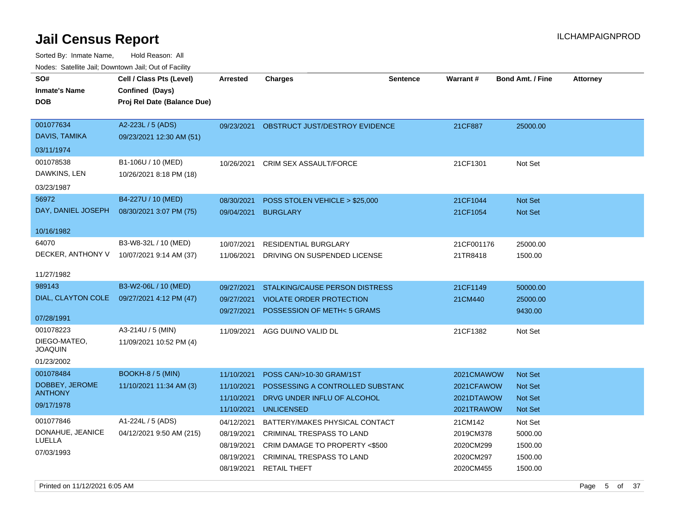| SO#<br><b>Inmate's Name</b><br><b>DOB</b>   | Cell / Class Pts (Level)<br>Confined (Days)<br>Proj Rel Date (Balance Due) | <b>Arrested</b>          | <b>Charges</b>                                              | <b>Sentence</b> | Warrant#               | <b>Bond Amt. / Fine</b> | <b>Attorney</b> |
|---------------------------------------------|----------------------------------------------------------------------------|--------------------------|-------------------------------------------------------------|-----------------|------------------------|-------------------------|-----------------|
| 001077634<br>DAVIS, TAMIKA                  | A2-223L / 5 (ADS)<br>09/23/2021 12:30 AM (51)                              | 09/23/2021               | OBSTRUCT JUST/DESTROY EVIDENCE                              |                 | 21CF887                | 25000.00                |                 |
| 03/11/1974                                  |                                                                            |                          |                                                             |                 |                        |                         |                 |
| 001078538<br>DAWKINS, LEN<br>03/23/1987     | B1-106U / 10 (MED)<br>10/26/2021 8:18 PM (18)                              | 10/26/2021               | <b>CRIM SEX ASSAULT/FORCE</b>                               |                 | 21CF1301               | Not Set                 |                 |
| 56972                                       | B4-227U / 10 (MED)                                                         | 08/30/2021               | POSS STOLEN VEHICLE > \$25,000                              |                 | 21CF1044               | <b>Not Set</b>          |                 |
| DAY, DANIEL JOSEPH                          | 08/30/2021 3:07 PM (75)                                                    | 09/04/2021               | <b>BURGLARY</b>                                             |                 | 21CF1054               | Not Set                 |                 |
| 10/16/1982                                  |                                                                            |                          |                                                             |                 |                        |                         |                 |
| 64070                                       | B3-W8-32L / 10 (MED)                                                       | 10/07/2021               | <b>RESIDENTIAL BURGLARY</b>                                 |                 | 21CF001176             | 25000.00                |                 |
| DECKER, ANTHONY V                           | 10/07/2021 9:14 AM (37)                                                    | 11/06/2021               | DRIVING ON SUSPENDED LICENSE                                |                 | 21TR8418               | 1500.00                 |                 |
| 11/27/1982                                  |                                                                            |                          |                                                             |                 |                        |                         |                 |
| 989143                                      | B3-W2-06L / 10 (MED)                                                       | 09/27/2021               | STALKING/CAUSE PERSON DISTRESS                              |                 | 21CF1149               | 50000.00                |                 |
| DIAL, CLAYTON COLE                          | 09/27/2021 4:12 PM (47)                                                    | 09/27/2021               | <b>VIOLATE ORDER PROTECTION</b>                             |                 | 21CM440                | 25000.00                |                 |
| 07/28/1991                                  |                                                                            | 09/27/2021               | POSSESSION OF METH<5 GRAMS                                  |                 |                        | 9430.00                 |                 |
| 001078223<br>DIEGO-MATEO,<br><b>JOAQUIN</b> | A3-214U / 5 (MIN)<br>11/09/2021 10:52 PM (4)                               | 11/09/2021               | AGG DUI/NO VALID DL                                         |                 | 21CF1382               | Not Set                 |                 |
| 01/23/2002                                  |                                                                            |                          |                                                             |                 |                        |                         |                 |
| 001078484                                   | <b>BOOKH-8 / 5 (MIN)</b>                                                   | 11/10/2021               | POSS CAN/>10-30 GRAM/1ST                                    |                 | 2021CMAWOW             | <b>Not Set</b>          |                 |
| DOBBEY, JEROME<br><b>ANTHONY</b>            | 11/10/2021 11:34 AM (3)                                                    | 11/10/2021               | POSSESSING A CONTROLLED SUBSTAND                            |                 | 2021CFAWOW             | Not Set                 |                 |
| 09/17/1978                                  |                                                                            | 11/10/2021               | DRVG UNDER INFLU OF ALCOHOL                                 |                 | 2021DTAWOW             | Not Set                 |                 |
| 001077846                                   | A1-224L / 5 (ADS)                                                          | 11/10/2021               | <b>UNLICENSED</b>                                           |                 | 2021TRAWOW             | Not Set                 |                 |
| DONAHUE, JEANICE                            | 04/12/2021 9:50 AM (215)                                                   | 04/12/2021               | BATTERY/MAKES PHYSICAL CONTACT                              |                 | 21CM142                | Not Set                 |                 |
| LUELLA                                      |                                                                            | 08/19/2021<br>08/19/2021 | CRIMINAL TRESPASS TO LAND<br>CRIM DAMAGE TO PROPERTY <\$500 |                 | 2019CM378<br>2020CM299 | 5000.00<br>1500.00      |                 |
| 07/03/1993                                  |                                                                            | 08/19/2021               | <b>CRIMINAL TRESPASS TO LAND</b>                            |                 | 2020CM297              | 1500.00                 |                 |
|                                             |                                                                            | 08/19/2021               | <b>RETAIL THEFT</b>                                         |                 | 2020CM455              | 1500.00                 |                 |
|                                             |                                                                            |                          |                                                             |                 |                        |                         |                 |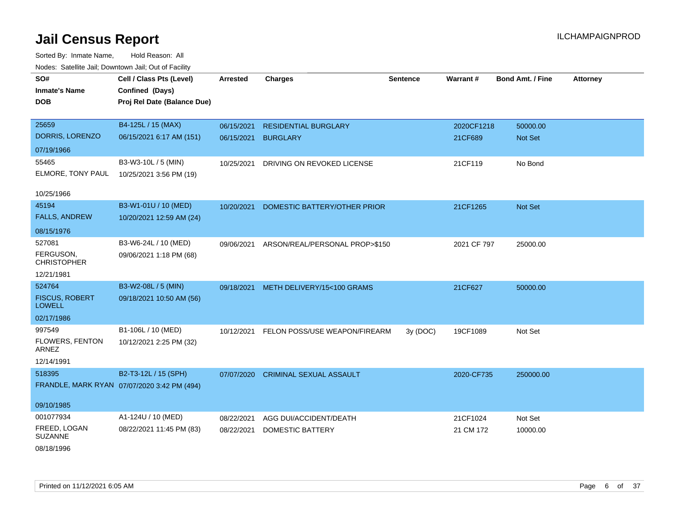| SO#<br><b>Inmate's Name</b><br><b>DOB</b>                             | Cell / Class Pts (Level)<br>Confined (Days)<br>Proj Rel Date (Balance Due) | <b>Arrested</b>          | <b>Charges</b>                                    | <b>Sentence</b> | Warrant#              | <b>Bond Amt. / Fine</b> | <b>Attorney</b> |
|-----------------------------------------------------------------------|----------------------------------------------------------------------------|--------------------------|---------------------------------------------------|-----------------|-----------------------|-------------------------|-----------------|
| 25659<br>DORRIS, LORENZO                                              | B4-125L / 15 (MAX)<br>06/15/2021 6:17 AM (151)                             | 06/15/2021<br>06/15/2021 | <b>RESIDENTIAL BURGLARY</b><br><b>BURGLARY</b>    |                 | 2020CF1218<br>21CF689 | 50000.00<br>Not Set     |                 |
| 07/19/1966                                                            |                                                                            |                          |                                                   |                 |                       |                         |                 |
| 55465<br>ELMORE, TONY PAUL                                            | B3-W3-10L / 5 (MIN)<br>10/25/2021 3:56 PM (19)                             | 10/25/2021               | DRIVING ON REVOKED LICENSE                        |                 | 21CF119               | No Bond                 |                 |
| 10/25/1966                                                            |                                                                            |                          |                                                   |                 |                       |                         |                 |
| 45194<br><b>FALLS, ANDREW</b>                                         | B3-W1-01U / 10 (MED)<br>10/20/2021 12:59 AM (24)                           | 10/20/2021               | DOMESTIC BATTERY/OTHER PRIOR                      |                 | 21CF1265              | Not Set                 |                 |
| 08/15/1976<br>527081<br>FERGUSON,<br><b>CHRISTOPHER</b><br>12/21/1981 | B3-W6-24L / 10 (MED)<br>09/06/2021 1:18 PM (68)                            | 09/06/2021               | ARSON/REAL/PERSONAL PROP>\$150                    |                 | 2021 CF 797           | 25000.00                |                 |
| 524764<br><b>FISCUS, ROBERT</b><br><b>LOWELL</b><br>02/17/1986        | B3-W2-08L / 5 (MIN)<br>09/18/2021 10:50 AM (56)                            | 09/18/2021               | METH DELIVERY/15<100 GRAMS                        |                 | 21CF627               | 50000.00                |                 |
| 997549<br>FLOWERS, FENTON<br>ARNEZ<br>12/14/1991                      | B1-106L / 10 (MED)<br>10/12/2021 2:25 PM (32)                              | 10/12/2021               | FELON POSS/USE WEAPON/FIREARM                     | 3y (DOC)        | 19CF1089              | Not Set                 |                 |
| 518395<br>09/10/1985                                                  | B2-T3-12L / 15 (SPH)<br>FRANDLE, MARK RYAN 07/07/2020 3:42 PM (494)        | 07/07/2020               | <b>CRIMINAL SEXUAL ASSAULT</b>                    |                 | 2020-CF735            | 250000.00               |                 |
| 001077934<br>FREED, LOGAN<br><b>SUZANNE</b><br>08/18/1996             | A1-124U / 10 (MED)<br>08/22/2021 11:45 PM (83)                             | 08/22/2021<br>08/22/2021 | AGG DUI/ACCIDENT/DEATH<br><b>DOMESTIC BATTERY</b> |                 | 21CF1024<br>21 CM 172 | Not Set<br>10000.00     |                 |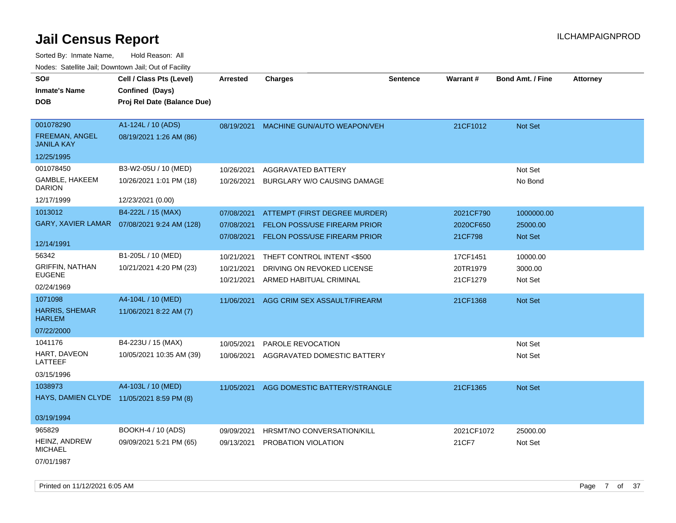| SO#                                       | Cell / Class Pts (Level)                     | <b>Arrested</b> | <b>Charges</b>                      | <b>Sentence</b> | Warrant#   | <b>Bond Amt. / Fine</b> | <b>Attorney</b> |
|-------------------------------------------|----------------------------------------------|-----------------|-------------------------------------|-----------------|------------|-------------------------|-----------------|
| <b>Inmate's Name</b>                      | Confined (Days)                              |                 |                                     |                 |            |                         |                 |
| <b>DOB</b>                                | Proj Rel Date (Balance Due)                  |                 |                                     |                 |            |                         |                 |
|                                           |                                              |                 |                                     |                 |            |                         |                 |
| 001078290                                 | A1-124L / 10 (ADS)                           | 08/19/2021      | MACHINE GUN/AUTO WEAPON/VEH         |                 | 21CF1012   | Not Set                 |                 |
| FREEMAN, ANGEL<br><b>JANILA KAY</b>       | 08/19/2021 1:26 AM (86)                      |                 |                                     |                 |            |                         |                 |
| 12/25/1995                                |                                              |                 |                                     |                 |            |                         |                 |
| 001078450                                 | B3-W2-05U / 10 (MED)                         | 10/26/2021      | AGGRAVATED BATTERY                  |                 |            | Not Set                 |                 |
| GAMBLE, HAKEEM<br><b>DARION</b>           | 10/26/2021 1:01 PM (18)                      | 10/26/2021      | BURGLARY W/O CAUSING DAMAGE         |                 |            | No Bond                 |                 |
| 12/17/1999                                | 12/23/2021 (0.00)                            |                 |                                     |                 |            |                         |                 |
| 1013012                                   | B4-222L / 15 (MAX)                           | 07/08/2021      | ATTEMPT (FIRST DEGREE MURDER)       |                 | 2021CF790  | 1000000.00              |                 |
|                                           | GARY, XAVIER LAMAR  07/08/2021 9:24 AM (128) | 07/08/2021      | <b>FELON POSS/USE FIREARM PRIOR</b> |                 | 2020CF650  | 25000.00                |                 |
|                                           |                                              | 07/08/2021      | <b>FELON POSS/USE FIREARM PRIOR</b> |                 | 21CF798    | <b>Not Set</b>          |                 |
| 12/14/1991                                |                                              |                 |                                     |                 |            |                         |                 |
| 56342                                     | B1-205L / 10 (MED)                           | 10/21/2021      | THEFT CONTROL INTENT <\$500         |                 | 17CF1451   | 10000.00                |                 |
| <b>GRIFFIN, NATHAN</b>                    | 10/21/2021 4:20 PM (23)                      | 10/21/2021      | DRIVING ON REVOKED LICENSE          |                 | 20TR1979   | 3000.00                 |                 |
| <b>EUGENE</b>                             |                                              | 10/21/2021      | ARMED HABITUAL CRIMINAL             |                 | 21CF1279   | Not Set                 |                 |
| 02/24/1969                                |                                              |                 |                                     |                 |            |                         |                 |
| 1071098                                   | A4-104L / 10 (MED)                           | 11/06/2021      | AGG CRIM SEX ASSAULT/FIREARM        |                 | 21CF1368   | Not Set                 |                 |
| <b>HARRIS, SHEMAR</b><br><b>HARLEM</b>    | 11/06/2021 8:22 AM (7)                       |                 |                                     |                 |            |                         |                 |
| 07/22/2000                                |                                              |                 |                                     |                 |            |                         |                 |
| 1041176                                   | B4-223U / 15 (MAX)                           | 10/05/2021      | PAROLE REVOCATION                   |                 |            | Not Set                 |                 |
| HART, DAVEON<br>LATTEEF                   | 10/05/2021 10:35 AM (39)                     | 10/06/2021      | AGGRAVATED DOMESTIC BATTERY         |                 |            | Not Set                 |                 |
| 03/15/1996                                |                                              |                 |                                     |                 |            |                         |                 |
| 1038973                                   | A4-103L / 10 (MED)                           | 11/05/2021      | AGG DOMESTIC BATTERY/STRANGLE       |                 | 21CF1365   | Not Set                 |                 |
| HAYS, DAMIEN CLYDE 11/05/2021 8:59 PM (8) |                                              |                 |                                     |                 |            |                         |                 |
|                                           |                                              |                 |                                     |                 |            |                         |                 |
| 03/19/1994                                |                                              |                 |                                     |                 |            |                         |                 |
| 965829                                    | BOOKH-4 / 10 (ADS)                           | 09/09/2021      | HRSMT/NO CONVERSATION/KILL          |                 | 2021CF1072 | 25000.00                |                 |
| HEINZ, ANDREW<br><b>MICHAEL</b>           | 09/09/2021 5:21 PM (65)                      | 09/13/2021      | PROBATION VIOLATION                 |                 | 21CF7      | Not Set                 |                 |
| 07/01/1987                                |                                              |                 |                                     |                 |            |                         |                 |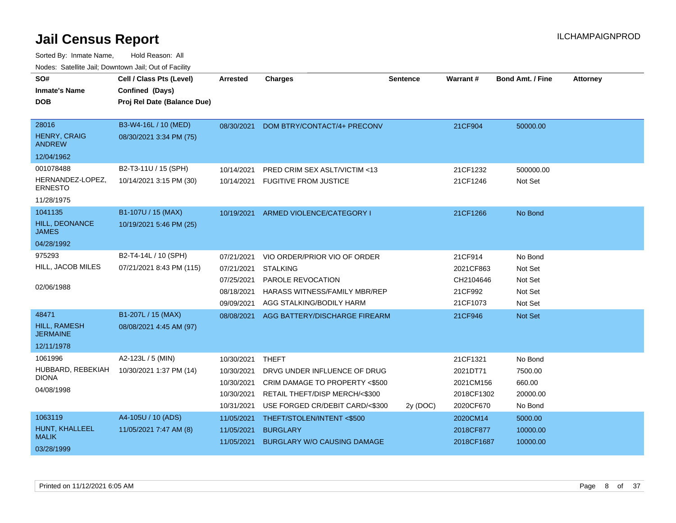| SO#                                  | Cell / Class Pts (Level)    | <b>Arrested</b> | <b>Charges</b>                          | <b>Sentence</b> | Warrant#   | <b>Bond Amt. / Fine</b> | <b>Attorney</b> |
|--------------------------------------|-----------------------------|-----------------|-----------------------------------------|-----------------|------------|-------------------------|-----------------|
| <b>Inmate's Name</b>                 | Confined (Days)             |                 |                                         |                 |            |                         |                 |
| <b>DOB</b>                           | Proj Rel Date (Balance Due) |                 |                                         |                 |            |                         |                 |
|                                      |                             |                 |                                         |                 |            |                         |                 |
| 28016                                | B3-W4-16L / 10 (MED)        | 08/30/2021      | DOM BTRY/CONTACT/4+ PRECONV             |                 | 21CF904    | 50000.00                |                 |
| <b>HENRY, CRAIG</b><br><b>ANDREW</b> | 08/30/2021 3:34 PM (75)     |                 |                                         |                 |            |                         |                 |
| 12/04/1962                           |                             |                 |                                         |                 |            |                         |                 |
| 001078488                            | B2-T3-11U / 15 (SPH)        | 10/14/2021      | <b>PRED CRIM SEX ASLT/VICTIM &lt;13</b> |                 | 21CF1232   | 500000.00               |                 |
| HERNANDEZ-LOPEZ.<br><b>ERNESTO</b>   | 10/14/2021 3:15 PM (30)     |                 | 10/14/2021 FUGITIVE FROM JUSTICE        |                 | 21CF1246   | Not Set                 |                 |
| 11/28/1975                           |                             |                 |                                         |                 |            |                         |                 |
| 1041135                              | B1-107U / 15 (MAX)          | 10/19/2021      | ARMED VIOLENCE/CATEGORY I               |                 | 21CF1266   | No Bond                 |                 |
| HILL, DEONANCE<br><b>JAMES</b>       | 10/19/2021 5:46 PM (25)     |                 |                                         |                 |            |                         |                 |
| 04/28/1992                           |                             |                 |                                         |                 |            |                         |                 |
| 975293                               | B2-T4-14L / 10 (SPH)        | 07/21/2021      | VIO ORDER/PRIOR VIO OF ORDER            |                 | 21CF914    | No Bond                 |                 |
| HILL, JACOB MILES                    | 07/21/2021 8:43 PM (115)    | 07/21/2021      | <b>STALKING</b>                         |                 | 2021CF863  | Not Set                 |                 |
|                                      |                             | 07/25/2021      | PAROLE REVOCATION                       |                 | CH2104646  | Not Set                 |                 |
| 02/06/1988                           |                             | 08/18/2021      | HARASS WITNESS/FAMILY MBR/REP           |                 | 21CF992    | Not Set                 |                 |
|                                      |                             | 09/09/2021      | AGG STALKING/BODILY HARM                |                 | 21CF1073   | Not Set                 |                 |
| 48471                                | B1-207L / 15 (MAX)          | 08/08/2021      | AGG BATTERY/DISCHARGE FIREARM           |                 | 21CF946    | Not Set                 |                 |
| HILL, RAMESH<br><b>JERMAINE</b>      | 08/08/2021 4:45 AM (97)     |                 |                                         |                 |            |                         |                 |
| 12/11/1978                           |                             |                 |                                         |                 |            |                         |                 |
| 1061996                              | A2-123L / 5 (MIN)           | 10/30/2021      | <b>THEFT</b>                            |                 | 21CF1321   | No Bond                 |                 |
| HUBBARD, REBEKIAH                    | 10/30/2021 1:37 PM (14)     | 10/30/2021      | DRVG UNDER INFLUENCE OF DRUG            |                 | 2021DT71   | 7500.00                 |                 |
| <b>DIONA</b>                         |                             | 10/30/2021      | CRIM DAMAGE TO PROPERTY <\$500          |                 | 2021CM156  | 660.00                  |                 |
| 04/08/1998                           |                             | 10/30/2021      | RETAIL THEFT/DISP MERCH/<\$300          |                 | 2018CF1302 | 20000.00                |                 |
|                                      |                             | 10/31/2021      | USE FORGED CR/DEBIT CARD/<\$300         | 2y (DOC)        | 2020CF670  | No Bond                 |                 |
| 1063119                              | A4-105U / 10 (ADS)          | 11/05/2021      | THEFT/STOLEN/INTENT <\$500              |                 | 2020CM14   | 5000.00                 |                 |
| HUNT, KHALLEEL                       | 11/05/2021 7:47 AM (8)      | 11/05/2021      | <b>BURGLARY</b>                         |                 | 2018CF877  | 10000.00                |                 |
| <b>MALIK</b><br>03/28/1999           |                             | 11/05/2021      | <b>BURGLARY W/O CAUSING DAMAGE</b>      |                 | 2018CF1687 | 10000.00                |                 |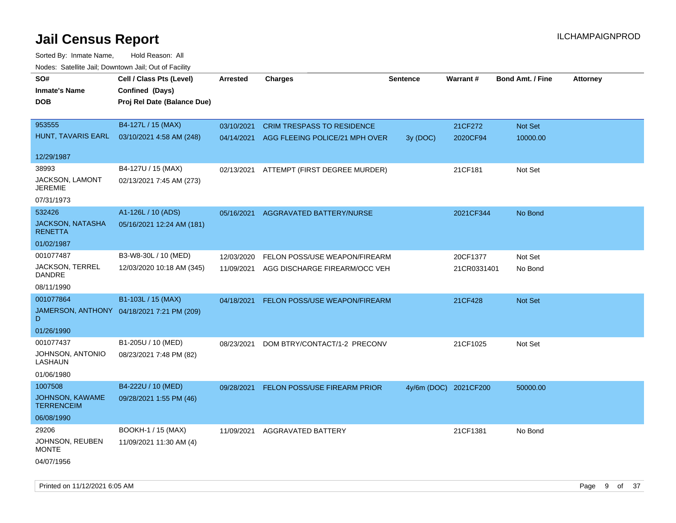| roaco. Oatomto dan, Downtown dan, Oat or Fability |                                            |                 |                                           |                 |                       |                         |                 |
|---------------------------------------------------|--------------------------------------------|-----------------|-------------------------------------------|-----------------|-----------------------|-------------------------|-----------------|
| SO#                                               | Cell / Class Pts (Level)                   | <b>Arrested</b> | <b>Charges</b>                            | <b>Sentence</b> | Warrant#              | <b>Bond Amt. / Fine</b> | <b>Attorney</b> |
| <b>Inmate's Name</b>                              | Confined (Days)                            |                 |                                           |                 |                       |                         |                 |
| <b>DOB</b>                                        | Proj Rel Date (Balance Due)                |                 |                                           |                 |                       |                         |                 |
|                                                   |                                            |                 |                                           |                 |                       |                         |                 |
| 953555                                            | B4-127L / 15 (MAX)                         | 03/10/2021      | <b>CRIM TRESPASS TO RESIDENCE</b>         |                 | 21CF272               | Not Set                 |                 |
| HUNT, TAVARIS EARL                                | 03/10/2021 4:58 AM (248)                   |                 | 04/14/2021 AGG FLEEING POLICE/21 MPH OVER | 3y (DOC)        | 2020CF94              | 10000.00                |                 |
|                                                   |                                            |                 |                                           |                 |                       |                         |                 |
| 12/29/1987                                        |                                            |                 |                                           |                 |                       |                         |                 |
| 38993                                             | B4-127U / 15 (MAX)                         |                 | 02/13/2021 ATTEMPT (FIRST DEGREE MURDER)  |                 | 21CF181               | Not Set                 |                 |
| JACKSON, LAMONT<br><b>JEREMIE</b>                 | 02/13/2021 7:45 AM (273)                   |                 |                                           |                 |                       |                         |                 |
| 07/31/1973                                        |                                            |                 |                                           |                 |                       |                         |                 |
| 532426                                            | A1-126L / 10 (ADS)                         | 05/16/2021      | AGGRAVATED BATTERY/NURSE                  |                 | 2021CF344             | No Bond                 |                 |
| <b>JACKSON, NATASHA</b>                           | 05/16/2021 12:24 AM (181)                  |                 |                                           |                 |                       |                         |                 |
| <b>RENETTA</b>                                    |                                            |                 |                                           |                 |                       |                         |                 |
| 01/02/1987                                        |                                            |                 |                                           |                 |                       |                         |                 |
| 001077487                                         | B3-W8-30L / 10 (MED)                       | 12/03/2020      | FELON POSS/USE WEAPON/FIREARM             |                 | 20CF1377              | Not Set                 |                 |
| JACKSON, TERREL                                   | 12/03/2020 10:18 AM (345)                  | 11/09/2021      | AGG DISCHARGE FIREARM/OCC VEH             |                 | 21CR0331401           | No Bond                 |                 |
| <b>DANDRE</b>                                     |                                            |                 |                                           |                 |                       |                         |                 |
| 08/11/1990                                        |                                            |                 |                                           |                 |                       |                         |                 |
| 001077864                                         | B1-103L / 15 (MAX)                         | 04/18/2021      | FELON POSS/USE WEAPON/FIREARM             |                 | 21CF428               | Not Set                 |                 |
| D                                                 | JAMERSON, ANTHONY 04/18/2021 7:21 PM (209) |                 |                                           |                 |                       |                         |                 |
| 01/26/1990                                        |                                            |                 |                                           |                 |                       |                         |                 |
| 001077437                                         | B1-205U / 10 (MED)                         | 08/23/2021      | DOM BTRY/CONTACT/1-2 PRECONV              |                 | 21CF1025              | Not Set                 |                 |
| JOHNSON, ANTONIO<br>LASHAUN                       | 08/23/2021 7:48 PM (82)                    |                 |                                           |                 |                       |                         |                 |
| 01/06/1980                                        |                                            |                 |                                           |                 |                       |                         |                 |
| 1007508                                           | B4-222U / 10 (MED)                         | 09/28/2021      | <b>FELON POSS/USE FIREARM PRIOR</b>       |                 | 4y/6m (DOC) 2021CF200 | 50000.00                |                 |
| JOHNSON, KAWAME<br><b>TERRENCEIM</b>              | 09/28/2021 1:55 PM (46)                    |                 |                                           |                 |                       |                         |                 |
| 06/08/1990                                        |                                            |                 |                                           |                 |                       |                         |                 |
| 29206                                             | BOOKH-1 / 15 (MAX)                         | 11/09/2021      | AGGRAVATED BATTERY                        |                 | 21CF1381              | No Bond                 |                 |
| JOHNSON, REUBEN<br><b>MONTE</b>                   | 11/09/2021 11:30 AM (4)                    |                 |                                           |                 |                       |                         |                 |
| 04/07/1956                                        |                                            |                 |                                           |                 |                       |                         |                 |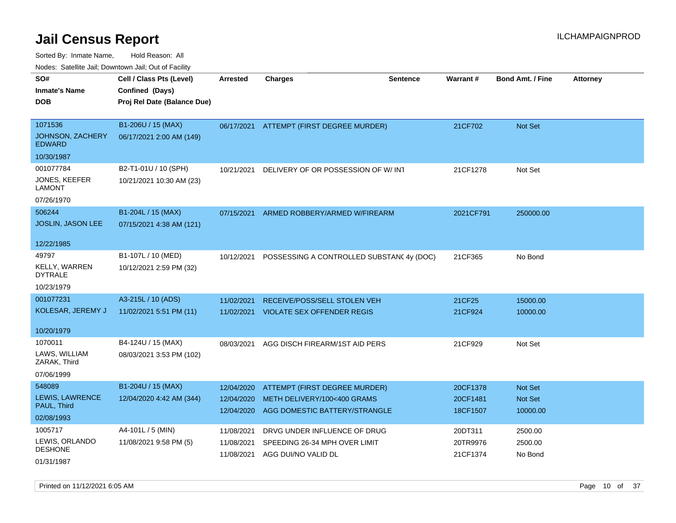Sorted By: Inmate Name, Hold Reason: All

|                                        | Nodes: Satellite Jail; Downtown Jail; Out of Facility |                 |                                           |                 |           |                         |          |
|----------------------------------------|-------------------------------------------------------|-----------------|-------------------------------------------|-----------------|-----------|-------------------------|----------|
| SO#                                    | Cell / Class Pts (Level)                              | <b>Arrested</b> | <b>Charges</b>                            | <b>Sentence</b> | Warrant#  | <b>Bond Amt. / Fine</b> | Attorney |
| <b>Inmate's Name</b>                   | Confined (Days)                                       |                 |                                           |                 |           |                         |          |
| <b>DOB</b>                             | Proj Rel Date (Balance Due)                           |                 |                                           |                 |           |                         |          |
|                                        |                                                       |                 |                                           |                 |           |                         |          |
| 1071536                                | B1-206U / 15 (MAX)                                    | 06/17/2021      | <b>ATTEMPT (FIRST DEGREE MURDER)</b>      |                 | 21CF702   | Not Set                 |          |
| JOHNSON, ZACHERY<br><b>EDWARD</b>      | 06/17/2021 2:00 AM (149)                              |                 |                                           |                 |           |                         |          |
| 10/30/1987                             |                                                       |                 |                                           |                 |           |                         |          |
| 001077784                              | B2-T1-01U / 10 (SPH)                                  | 10/21/2021      | DELIVERY OF OR POSSESSION OF W/INT        |                 | 21CF1278  | Not Set                 |          |
| JONES, KEEFER<br><b>LAMONT</b>         | 10/21/2021 10:30 AM (23)                              |                 |                                           |                 |           |                         |          |
| 07/26/1970                             |                                                       |                 |                                           |                 |           |                         |          |
| 506244                                 | B1-204L / 15 (MAX)                                    | 07/15/2021      | ARMED ROBBERY/ARMED W/FIREARM             |                 | 2021CF791 | 250000.00               |          |
| JOSLIN, JASON LEE                      | 07/15/2021 4:38 AM (121)                              |                 |                                           |                 |           |                         |          |
|                                        |                                                       |                 |                                           |                 |           |                         |          |
| 12/22/1985                             |                                                       |                 |                                           |                 |           |                         |          |
| 49797                                  | B1-107L / 10 (MED)                                    | 10/12/2021      | POSSESSING A CONTROLLED SUBSTANC 4y (DOC) |                 | 21CF365   | No Bond                 |          |
| <b>KELLY, WARREN</b><br><b>DYTRALE</b> | 10/12/2021 2:59 PM (32)                               |                 |                                           |                 |           |                         |          |
| 10/23/1979                             |                                                       |                 |                                           |                 |           |                         |          |
| 001077231                              | A3-215L / 10 (ADS)                                    | 11/02/2021      | RECEIVE/POSS/SELL STOLEN VEH              |                 | 21CF25    | 15000.00                |          |
| KOLESAR, JEREMY J                      | 11/02/2021 5:51 PM (11)                               |                 | 11/02/2021 VIOLATE SEX OFFENDER REGIS     |                 | 21CF924   | 10000.00                |          |
|                                        |                                                       |                 |                                           |                 |           |                         |          |
| 10/20/1979                             |                                                       |                 |                                           |                 |           |                         |          |
| 1070011                                | B4-124U / 15 (MAX)                                    | 08/03/2021      | AGG DISCH FIREARM/1ST AID PERS            |                 | 21CF929   | Not Set                 |          |
| LAWS, WILLIAM<br>ZARAK, Third          | 08/03/2021 3:53 PM (102)                              |                 |                                           |                 |           |                         |          |
| 07/06/1999                             |                                                       |                 |                                           |                 |           |                         |          |
| 548089                                 | B1-204U / 15 (MAX)                                    | 12/04/2020      | ATTEMPT (FIRST DEGREE MURDER)             |                 | 20CF1378  | Not Set                 |          |
| LEWIS, LAWRENCE                        | 12/04/2020 4:42 AM (344)                              | 12/04/2020      | METH DELIVERY/100<400 GRAMS               |                 | 20CF1481  | Not Set                 |          |
| PAUL, Third                            |                                                       | 12/04/2020      | AGG DOMESTIC BATTERY/STRANGLE             |                 | 18CF1507  | 10000.00                |          |
| 02/08/1993                             |                                                       |                 |                                           |                 |           |                         |          |
| 1005717                                | A4-101L / 5 (MIN)                                     | 11/08/2021      | DRVG UNDER INFLUENCE OF DRUG              |                 | 20DT311   | 2500.00                 |          |
| LEWIS, ORLANDO                         | 11/08/2021 9:58 PM (5)                                | 11/08/2021      | SPEEDING 26-34 MPH OVER LIMIT             |                 | 20TR9976  | 2500.00                 |          |
| <b>DESHONE</b>                         |                                                       | 11/08/2021      | AGG DUI/NO VALID DL                       |                 | 21CF1374  | No Bond                 |          |
| 01/31/1987                             |                                                       |                 |                                           |                 |           |                         |          |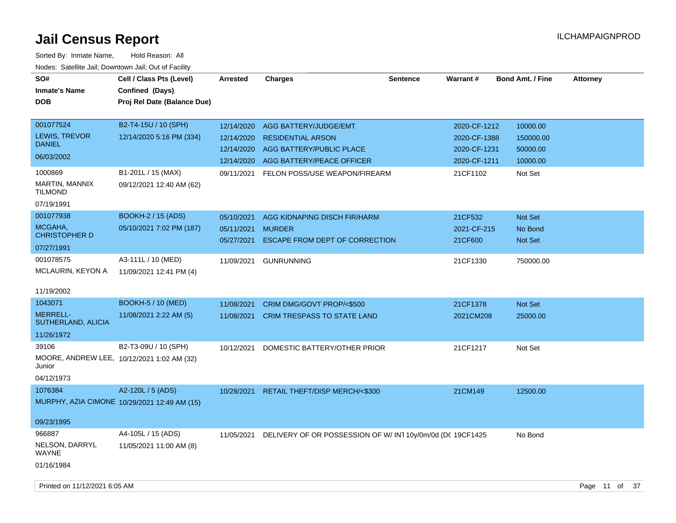| SO#<br><b>Inmate's Name</b><br><b>DOB</b>                        | Cell / Class Pts (Level)<br>Confined (Days)<br>Proj Rel Date (Balance Due) | Arrested                                             | Charges                                                                                                    | <b>Sentence</b> | <b>Warrant#</b>                                              | <b>Bond Amt. / Fine</b>                       | <b>Attorney</b> |  |
|------------------------------------------------------------------|----------------------------------------------------------------------------|------------------------------------------------------|------------------------------------------------------------------------------------------------------------|-----------------|--------------------------------------------------------------|-----------------------------------------------|-----------------|--|
| 001077524<br><b>LEWIS, TREVOR</b><br><b>DANIEL</b><br>06/03/2002 | B2-T4-15U / 10 (SPH)<br>12/14/2020 5:16 PM (334)                           | 12/14/2020<br>12/14/2020<br>12/14/2020<br>12/14/2020 | AGG BATTERY/JUDGE/EMT<br><b>RESIDENTIAL ARSON</b><br>AGG BATTERY/PUBLIC PLACE<br>AGG BATTERY/PEACE OFFICER |                 | 2020-CF-1212<br>2020-CF-1388<br>2020-CF-1231<br>2020-CF-1211 | 10000.00<br>150000.00<br>50000.00<br>10000.00 |                 |  |
| 1000869<br>MARTIN, MANNIX<br><b>TILMOND</b><br>07/19/1991        | B1-201L / 15 (MAX)<br>09/12/2021 12:40 AM (62)                             | 09/11/2021                                           | FELON POSS/USE WEAPON/FIREARM                                                                              |                 | 21CF1102                                                     | Not Set                                       |                 |  |
| 001077938<br>MCGAHA,<br><b>CHRISTOPHER D</b><br>07/27/1991       | <b>BOOKH-2 / 15 (ADS)</b><br>05/10/2021 7:02 PM (187)                      | 05/10/2021<br>05/11/2021<br>05/27/2021               | AGG KIDNAPING DISCH FIR/HARM<br><b>MURDER</b><br>ESCAPE FROM DEPT OF CORRECTION                            |                 | 21CF532<br>2021-CF-215<br>21CF600                            | Not Set<br>No Bond<br><b>Not Set</b>          |                 |  |
| 001078575<br>MCLAURIN, KEYON A<br>11/19/2002                     | A3-111L / 10 (MED)<br>11/09/2021 12:41 PM (4)                              | 11/09/2021                                           | <b>GUNRUNNING</b>                                                                                          |                 | 21CF1330                                                     | 750000.00                                     |                 |  |
| 1043071<br><b>MERRELL-</b><br>SUTHERLAND, ALICIA<br>11/26/1972   | <b>BOOKH-5 / 10 (MED)</b><br>11/08/2021 2:22 AM (5)                        | 11/08/2021<br>11/08/2021                             | CRIM DMG/GOVT PROP/<\$500<br>CRIM TRESPASS TO STATE LAND                                                   |                 | 21CF1378<br>2021CM208                                        | Not Set<br>25000.00                           |                 |  |
| 39106<br>Junior<br>04/12/1973                                    | B2-T3-09U / 10 (SPH)<br>MOORE, ANDREW LEE, 10/12/2021 1:02 AM (32)         | 10/12/2021                                           | DOMESTIC BATTERY/OTHER PRIOR                                                                               |                 | 21CF1217                                                     | Not Set                                       |                 |  |
| 1076384<br>09/23/1995                                            | A2-120L / 5 (ADS)<br>MURPHY, AZIA CIMONE 10/29/2021 12:49 AM (15)          | 10/28/2021                                           | <b>RETAIL THEFT/DISP MERCH/&lt;\$300</b>                                                                   |                 | 21CM149                                                      | 12500.00                                      |                 |  |
| 966887<br>NELSON, DARRYL<br><b>WAYNE</b><br>01/16/1984           | A4-105L / 15 (ADS)<br>11/05/2021 11:00 AM (8)                              | 11/05/2021                                           | DELIVERY OF OR POSSESSION OF W/IN110y/0m/0d (DC 19CF1425                                                   |                 |                                                              | No Bond                                       |                 |  |
| Printed on 11/12/2021 6:05 AM                                    |                                                                            |                                                      |                                                                                                            |                 |                                                              |                                               | Page 11 of 37   |  |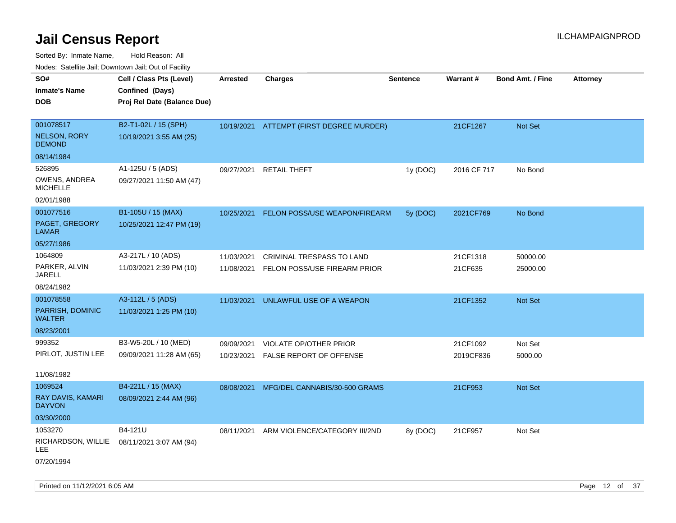Sorted By: Inmate Name, Hold Reason: All Nodes: Satellite Jail; Downtown Jail; Out of Facility

| ivouss. Satellite Jali, Downtown Jali, Out of Facility |                                            |            |                                          |                 |                 |                         |                 |
|--------------------------------------------------------|--------------------------------------------|------------|------------------------------------------|-----------------|-----------------|-------------------------|-----------------|
| SO#                                                    | Cell / Class Pts (Level)                   | Arrested   | <b>Charges</b>                           | <b>Sentence</b> | <b>Warrant#</b> | <b>Bond Amt. / Fine</b> | <b>Attorney</b> |
| Inmate's Name                                          | Confined (Days)                            |            |                                          |                 |                 |                         |                 |
| DOB                                                    | Proj Rel Date (Balance Due)                |            |                                          |                 |                 |                         |                 |
|                                                        |                                            |            |                                          |                 |                 |                         |                 |
| 001078517                                              | B2-T1-02L / 15 (SPH)                       |            | 10/19/2021 ATTEMPT (FIRST DEGREE MURDER) |                 | 21CF1267        | Not Set                 |                 |
| NELSON, RORY<br><b>DEMOND</b>                          | 10/19/2021 3:55 AM (25)                    |            |                                          |                 |                 |                         |                 |
| 08/14/1984                                             |                                            |            |                                          |                 |                 |                         |                 |
| 526895                                                 | A1-125U / 5 (ADS)                          | 09/27/2021 | <b>RETAIL THEFT</b>                      | 1y(DOC)         | 2016 CF 717     | No Bond                 |                 |
| OWENS, ANDREA<br><b>MICHELLE</b>                       | 09/27/2021 11:50 AM (47)                   |            |                                          |                 |                 |                         |                 |
| 02/01/1988                                             |                                            |            |                                          |                 |                 |                         |                 |
| 001077516                                              | B1-105U / 15 (MAX)                         | 10/25/2021 | FELON POSS/USE WEAPON/FIREARM            | 5y (DOC)        | 2021CF769       | No Bond                 |                 |
| <b>PAGET, GREGORY</b><br>LAMAR                         | 10/25/2021 12:47 PM (19)                   |            |                                          |                 |                 |                         |                 |
| 05/27/1986                                             |                                            |            |                                          |                 |                 |                         |                 |
| 1064809                                                | A3-217L / 10 (ADS)                         | 11/03/2021 | <b>CRIMINAL TRESPASS TO LAND</b>         |                 | 21CF1318        | 50000.00                |                 |
| PARKER, ALVIN<br>JARELL                                | 11/03/2021 2:39 PM (10)                    | 11/08/2021 | FELON POSS/USE FIREARM PRIOR             |                 | 21CF635         | 25000.00                |                 |
| 08/24/1982                                             |                                            |            |                                          |                 |                 |                         |                 |
| 001078558                                              | A3-112L / 5 (ADS)                          | 11/03/2021 | UNLAWFUL USE OF A WEAPON                 |                 | 21CF1352        | <b>Not Set</b>          |                 |
| PARRISH, DOMINIC<br>WALTER                             | 11/03/2021 1:25 PM (10)                    |            |                                          |                 |                 |                         |                 |
| 08/23/2001                                             |                                            |            |                                          |                 |                 |                         |                 |
| 999352                                                 | B3-W5-20L / 10 (MED)                       | 09/09/2021 | VIOLATE OP/OTHER PRIOR                   |                 | 21CF1092        | Not Set                 |                 |
| PIRLOT, JUSTIN LEE                                     | 09/09/2021 11:28 AM (65)                   | 10/23/2021 | <b>FALSE REPORT OF OFFENSE</b>           |                 | 2019CF836       | 5000.00                 |                 |
|                                                        |                                            |            |                                          |                 |                 |                         |                 |
| 11/08/1982                                             |                                            |            |                                          |                 |                 |                         |                 |
| 1069524                                                | B4-221L / 15 (MAX)                         | 08/08/2021 | MFG/DEL CANNABIS/30-500 GRAMS            |                 | 21CF953         | <b>Not Set</b>          |                 |
| RAY DAVIS, KAMARI<br>DAYVON                            | 08/09/2021 2:44 AM (96)                    |            |                                          |                 |                 |                         |                 |
| 03/30/2000                                             |                                            |            |                                          |                 |                 |                         |                 |
| 1053270                                                | B4-121U                                    | 08/11/2021 | ARM VIOLENCE/CATEGORY III/2ND            | 8y (DOC)        | 21CF957         | Not Set                 |                 |
| LEE                                                    | RICHARDSON, WILLIE 08/11/2021 3:07 AM (94) |            |                                          |                 |                 |                         |                 |
| 07/20/1994                                             |                                            |            |                                          |                 |                 |                         |                 |

Printed on 11/12/2021 6:05 AM **Page 12** of 37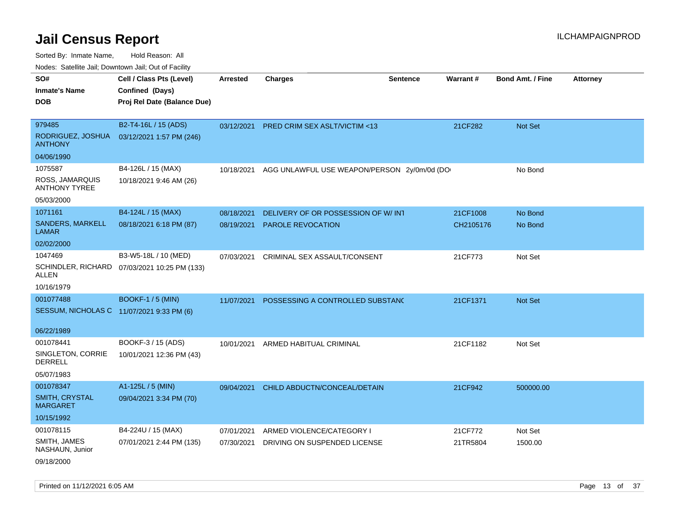| SO#                                       | Cell / Class Pts (Level)                     | <b>Arrested</b> | <b>Charges</b>                              | <b>Sentence</b> | Warrant#  | <b>Bond Amt. / Fine</b> | <b>Attorney</b> |
|-------------------------------------------|----------------------------------------------|-----------------|---------------------------------------------|-----------------|-----------|-------------------------|-----------------|
| <b>Inmate's Name</b>                      | Confined (Days)                              |                 |                                             |                 |           |                         |                 |
| <b>DOB</b>                                | Proj Rel Date (Balance Due)                  |                 |                                             |                 |           |                         |                 |
|                                           |                                              |                 |                                             |                 |           |                         |                 |
| 979485                                    | B2-T4-16L / 15 (ADS)                         | 03/12/2021      | PRED CRIM SEX ASLT/VICTIM <13               |                 | 21CF282   | Not Set                 |                 |
| RODRIGUEZ, JOSHUA<br><b>ANTHONY</b>       | 03/12/2021 1:57 PM (246)                     |                 |                                             |                 |           |                         |                 |
| 04/06/1990                                |                                              |                 |                                             |                 |           |                         |                 |
| 1075587                                   | B4-126L / 15 (MAX)                           | 10/18/2021      | AGG UNLAWFUL USE WEAPON/PERSON 2y/0m/0d (DO |                 |           | No Bond                 |                 |
| ROSS, JAMARQUIS<br><b>ANTHONY TYREE</b>   | 10/18/2021 9:46 AM (26)                      |                 |                                             |                 |           |                         |                 |
| 05/03/2000                                |                                              |                 |                                             |                 |           |                         |                 |
| 1071161                                   | B4-124L / 15 (MAX)                           | 08/18/2021      | DELIVERY OF OR POSSESSION OF W/INT          |                 | 21CF1008  | No Bond                 |                 |
| SANDERS, MARKELL<br><b>LAMAR</b>          | 08/18/2021 6:18 PM (87)                      | 08/19/2021      | PAROLE REVOCATION                           |                 | CH2105176 | No Bond                 |                 |
| 02/02/2000                                |                                              |                 |                                             |                 |           |                         |                 |
| 1047469                                   | B3-W5-18L / 10 (MED)                         | 07/03/2021      | CRIMINAL SEX ASSAULT/CONSENT                |                 | 21CF773   | Not Set                 |                 |
| ALLEN                                     | SCHINDLER, RICHARD 07/03/2021 10:25 PM (133) |                 |                                             |                 |           |                         |                 |
| 10/16/1979                                |                                              |                 |                                             |                 |           |                         |                 |
| 001077488                                 | <b>BOOKF-1 / 5 (MIN)</b>                     | 11/07/2021      | POSSESSING A CONTROLLED SUBSTAND            |                 | 21CF1371  | Not Set                 |                 |
| SESSUM, NICHOLAS C 11/07/2021 9:33 PM (6) |                                              |                 |                                             |                 |           |                         |                 |
|                                           |                                              |                 |                                             |                 |           |                         |                 |
| 06/22/1989                                |                                              |                 |                                             |                 |           |                         |                 |
| 001078441                                 | BOOKF-3 / 15 (ADS)                           | 10/01/2021      | ARMED HABITUAL CRIMINAL                     |                 | 21CF1182  | Not Set                 |                 |
| SINGLETON, CORRIE<br><b>DERRELL</b>       | 10/01/2021 12:36 PM (43)                     |                 |                                             |                 |           |                         |                 |
| 05/07/1983                                |                                              |                 |                                             |                 |           |                         |                 |
| 001078347                                 | A1-125L / 5 (MIN)                            | 09/04/2021      | CHILD ABDUCTN/CONCEAL/DETAIN                |                 | 21CF942   | 500000.00               |                 |
| SMITH, CRYSTAL<br><b>MARGARET</b>         | 09/04/2021 3:34 PM (70)                      |                 |                                             |                 |           |                         |                 |
| 10/15/1992                                |                                              |                 |                                             |                 |           |                         |                 |
| 001078115                                 | B4-224U / 15 (MAX)                           | 07/01/2021      | ARMED VIOLENCE/CATEGORY I                   |                 | 21CF772   | Not Set                 |                 |
| SMITH, JAMES<br>NASHAUN, Junior           | 07/01/2021 2:44 PM (135)                     | 07/30/2021      | DRIVING ON SUSPENDED LICENSE                |                 | 21TR5804  | 1500.00                 |                 |
| 09/18/2000                                |                                              |                 |                                             |                 |           |                         |                 |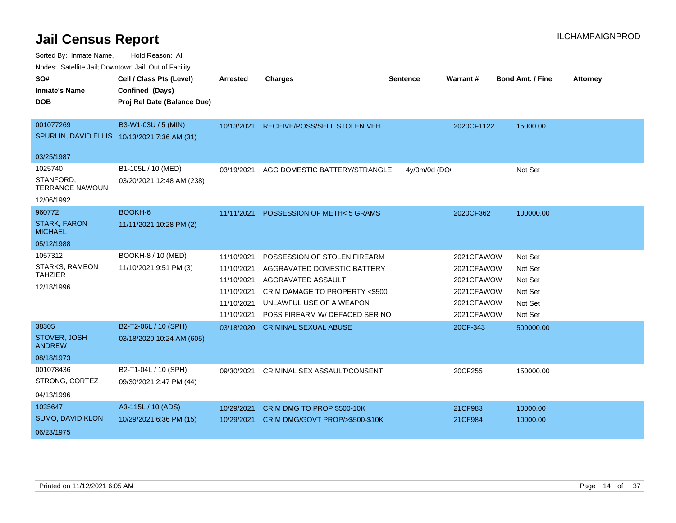Sorted By: Inmate Name, Hold Reason: All

|  |  | Nodes: Satellite Jail; Downtown Jail; Out of Facility |  |
|--|--|-------------------------------------------------------|--|
|--|--|-------------------------------------------------------|--|

| SO#                                   | Cell / Class Pts (Level)                     | Arrested   | <b>Charges</b>                      | <b>Sentence</b> | Warrant#   | <b>Bond Amt. / Fine</b> | <b>Attorney</b> |
|---------------------------------------|----------------------------------------------|------------|-------------------------------------|-----------------|------------|-------------------------|-----------------|
| <b>Inmate's Name</b>                  | Confined (Days)                              |            |                                     |                 |            |                         |                 |
| <b>DOB</b>                            | Proj Rel Date (Balance Due)                  |            |                                     |                 |            |                         |                 |
|                                       |                                              |            |                                     |                 |            |                         |                 |
| 001077269                             | B3-W1-03U / 5 (MIN)                          | 10/13/2021 | RECEIVE/POSS/SELL STOLEN VEH        |                 | 2020CF1122 | 15000.00                |                 |
|                                       | SPURLIN, DAVID ELLIS 10/13/2021 7:36 AM (31) |            |                                     |                 |            |                         |                 |
| 03/25/1987                            |                                              |            |                                     |                 |            |                         |                 |
| 1025740                               | B1-105L / 10 (MED)                           | 03/19/2021 | AGG DOMESTIC BATTERY/STRANGLE       | 4y/0m/0d (DO    |            | Not Set                 |                 |
| STANFORD,                             | 03/20/2021 12:48 AM (238)                    |            |                                     |                 |            |                         |                 |
| <b>TERRANCE NAWOUN</b>                |                                              |            |                                     |                 |            |                         |                 |
| 12/06/1992                            |                                              |            |                                     |                 |            |                         |                 |
| 960772                                | BOOKH-6                                      | 11/11/2021 | POSSESSION OF METH<5 GRAMS          |                 | 2020CF362  | 100000.00               |                 |
| <b>STARK, FARON</b><br><b>MICHAEL</b> | 11/11/2021 10:28 PM (2)                      |            |                                     |                 |            |                         |                 |
| 05/12/1988                            |                                              |            |                                     |                 |            |                         |                 |
| 1057312                               | BOOKH-8 / 10 (MED)                           | 11/10/2021 | POSSESSION OF STOLEN FIREARM        |                 | 2021CFAWOW | Not Set                 |                 |
| <b>STARKS, RAMEON</b>                 | 11/10/2021 9:51 PM (3)                       | 11/10/2021 | AGGRAVATED DOMESTIC BATTERY         |                 | 2021CFAWOW | Not Set                 |                 |
| <b>TAHZIER</b>                        |                                              | 11/10/2021 | AGGRAVATED ASSAULT                  |                 | 2021CFAWOW | Not Set                 |                 |
| 12/18/1996                            |                                              | 11/10/2021 | CRIM DAMAGE TO PROPERTY <\$500      |                 | 2021CFAWOW | Not Set                 |                 |
|                                       |                                              | 11/10/2021 | UNLAWFUL USE OF A WEAPON            |                 | 2021CFAWOW | Not Set                 |                 |
|                                       |                                              | 11/10/2021 | POSS FIREARM W/ DEFACED SER NO      |                 | 2021CFAWOW | Not Set                 |                 |
| 38305                                 | B2-T2-06L / 10 (SPH)                         | 03/18/2020 | <b>CRIMINAL SEXUAL ABUSE</b>        |                 | 20CF-343   | 500000.00               |                 |
| STOVER, JOSH<br><b>ANDREW</b>         | 03/18/2020 10:24 AM (605)                    |            |                                     |                 |            |                         |                 |
| 08/18/1973                            |                                              |            |                                     |                 |            |                         |                 |
| 001078436                             | B2-T1-04L / 10 (SPH)                         | 09/30/2021 | <b>CRIMINAL SEX ASSAULT/CONSENT</b> |                 | 20CF255    | 150000.00               |                 |
| STRONG, CORTEZ                        | 09/30/2021 2:47 PM (44)                      |            |                                     |                 |            |                         |                 |
| 04/13/1996                            |                                              |            |                                     |                 |            |                         |                 |
| 1035647                               | A3-115L / 10 (ADS)                           | 10/29/2021 | CRIM DMG TO PROP \$500-10K          |                 | 21CF983    | 10000.00                |                 |
| <b>SUMO, DAVID KLON</b>               | 10/29/2021 6:36 PM (15)                      | 10/29/2021 | CRIM DMG/GOVT PROP/>\$500-\$10K     |                 | 21CF984    | 10000.00                |                 |
| 06/23/1975                            |                                              |            |                                     |                 |            |                         |                 |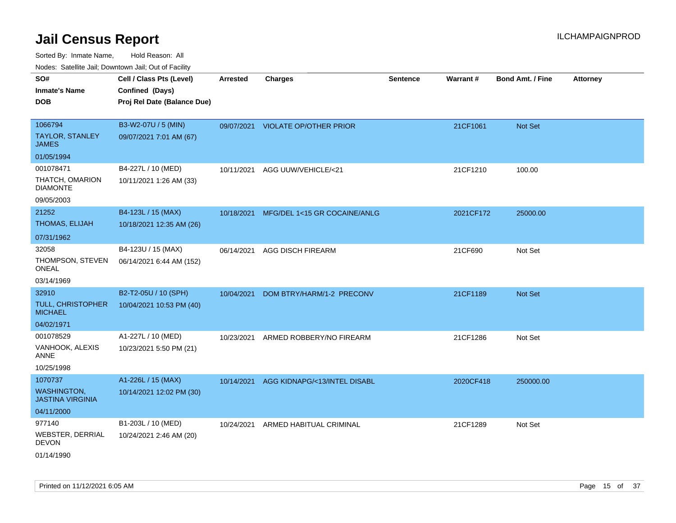| SO#<br><b>Inmate's Name</b><br><b>DOB</b>                       | Cell / Class Pts (Level)<br>Confined (Days)<br>Proj Rel Date (Balance Due) | Arrested   | <b>Charges</b>                    | <b>Sentence</b> | Warrant#  | <b>Bond Amt. / Fine</b> | <b>Attorney</b> |
|-----------------------------------------------------------------|----------------------------------------------------------------------------|------------|-----------------------------------|-----------------|-----------|-------------------------|-----------------|
| 1066794<br><b>TAYLOR, STANLEY</b><br><b>JAMES</b>               | B3-W2-07U / 5 (MIN)<br>09/07/2021 7:01 AM (67)                             |            | 09/07/2021 VIOLATE OP/OTHER PRIOR |                 | 21CF1061  | Not Set                 |                 |
| 01/05/1994                                                      |                                                                            |            |                                   |                 |           |                         |                 |
| 001078471<br>THATCH, OMARION<br><b>DIAMONTE</b><br>09/05/2003   | B4-227L / 10 (MED)<br>10/11/2021 1:26 AM (33)                              | 10/11/2021 | AGG UUW/VEHICLE/<21               |                 | 21CF1210  | 100.00                  |                 |
| 21252                                                           | B4-123L / 15 (MAX)                                                         | 10/18/2021 | MFG/DEL 1<15 GR COCAINE/ANLG      |                 | 2021CF172 | 25000.00                |                 |
| THOMAS, ELIJAH                                                  | 10/18/2021 12:35 AM (26)                                                   |            |                                   |                 |           |                         |                 |
| 07/31/1962                                                      |                                                                            |            |                                   |                 |           |                         |                 |
| 32058<br>THOMPSON, STEVEN<br>ONEAL                              | B4-123U / 15 (MAX)<br>06/14/2021 6:44 AM (152)                             | 06/14/2021 | <b>AGG DISCH FIREARM</b>          |                 | 21CF690   | Not Set                 |                 |
| 03/14/1969                                                      |                                                                            |            |                                   |                 |           |                         |                 |
| 32910<br><b>TULL, CHRISTOPHER</b><br><b>MICHAEL</b>             | B2-T2-05U / 10 (SPH)<br>10/04/2021 10:53 PM (40)                           | 10/04/2021 | DOM BTRY/HARM/1-2 PRECONV         |                 | 21CF1189  | <b>Not Set</b>          |                 |
| 04/02/1971                                                      |                                                                            |            |                                   |                 |           |                         |                 |
| 001078529<br>VANHOOK, ALEXIS<br><b>ANNE</b><br>10/25/1998       | A1-227L / 10 (MED)<br>10/23/2021 5:50 PM (21)                              | 10/23/2021 | ARMED ROBBERY/NO FIREARM          |                 | 21CF1286  | Not Set                 |                 |
| 1070737                                                         | A1-226L / 15 (MAX)                                                         | 10/14/2021 | AGG KIDNAPG/<13/INTEL DISABL      |                 | 2020CF418 | 250000.00               |                 |
| <b>WASHINGTON,</b><br><b>JASTINA VIRGINIA</b>                   | 10/14/2021 12:02 PM (30)                                                   |            |                                   |                 |           |                         |                 |
| 04/11/2000                                                      |                                                                            |            |                                   |                 |           |                         |                 |
| 977140<br><b>WEBSTER, DERRIAL</b><br><b>DEVON</b><br>01/14/1990 | B1-203L / 10 (MED)<br>10/24/2021 2:46 AM (20)                              | 10/24/2021 | ARMED HABITUAL CRIMINAL           |                 | 21CF1289  | Not Set                 |                 |
|                                                                 |                                                                            |            |                                   |                 |           |                         |                 |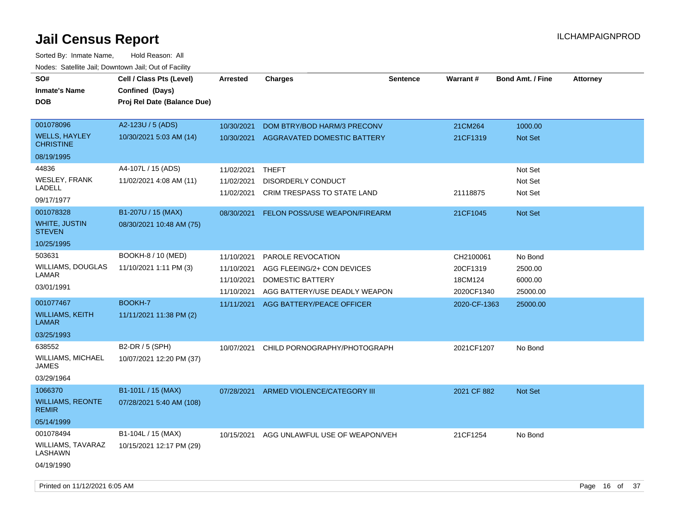| SO#<br><b>Inmate's Name</b><br><b>DOB</b> | Cell / Class Pts (Level)<br>Confined (Days)<br>Proj Rel Date (Balance Due) | <b>Arrested</b> | <b>Charges</b>                       | <b>Sentence</b> | <b>Warrant#</b> | <b>Bond Amt. / Fine</b> | <b>Attorney</b> |
|-------------------------------------------|----------------------------------------------------------------------------|-----------------|--------------------------------------|-----------------|-----------------|-------------------------|-----------------|
| 001078096                                 | A2-123U / 5 (ADS)                                                          | 10/30/2021      | DOM BTRY/BOD HARM/3 PRECONV          |                 | 21CM264         | 1000.00                 |                 |
| <b>WELLS, HAYLEY</b><br><b>CHRISTINE</b>  | 10/30/2021 5:03 AM (14)                                                    | 10/30/2021      | AGGRAVATED DOMESTIC BATTERY          |                 | 21CF1319        | Not Set                 |                 |
| 08/19/1995                                |                                                                            |                 |                                      |                 |                 |                         |                 |
| 44836                                     | A4-107L / 15 (ADS)                                                         | 11/02/2021      | THEFT                                |                 |                 | Not Set                 |                 |
| WESLEY, FRANK                             | 11/02/2021 4:08 AM (11)                                                    | 11/02/2021      | <b>DISORDERLY CONDUCT</b>            |                 |                 | Not Set                 |                 |
| <b>LADELL</b><br>09/17/1977               |                                                                            | 11/02/2021      | CRIM TRESPASS TO STATE LAND          |                 | 21118875        | Not Set                 |                 |
| 001078328                                 | B1-207U / 15 (MAX)                                                         | 08/30/2021      | <b>FELON POSS/USE WEAPON/FIREARM</b> |                 | 21CF1045        | Not Set                 |                 |
| <b>WHITE, JUSTIN</b><br><b>STEVEN</b>     | 08/30/2021 10:48 AM (75)                                                   |                 |                                      |                 |                 |                         |                 |
| 10/25/1995                                |                                                                            |                 |                                      |                 |                 |                         |                 |
| 503631                                    | BOOKH-8 / 10 (MED)                                                         | 11/10/2021      | PAROLE REVOCATION                    |                 | CH2100061       | No Bond                 |                 |
| WILLIAMS, DOUGLAS                         | 11/10/2021 1:11 PM (3)                                                     | 11/10/2021      | AGG FLEEING/2+ CON DEVICES           |                 | 20CF1319        | 2500.00                 |                 |
| LAMAR                                     |                                                                            | 11/10/2021      | DOMESTIC BATTERY                     |                 | 18CM124         | 6000.00                 |                 |
| 03/01/1991                                |                                                                            | 11/10/2021      | AGG BATTERY/USE DEADLY WEAPON        |                 | 2020CF1340      | 25000.00                |                 |
| 001077467                                 | BOOKH-7                                                                    | 11/11/2021      | AGG BATTERY/PEACE OFFICER            |                 | 2020-CF-1363    | 25000.00                |                 |
| <b>WILLIAMS, KEITH</b><br><b>LAMAR</b>    | 11/11/2021 11:38 PM (2)                                                    |                 |                                      |                 |                 |                         |                 |
| 03/25/1993                                |                                                                            |                 |                                      |                 |                 |                         |                 |
| 638552                                    | B2-DR / 5 (SPH)                                                            | 10/07/2021      | CHILD PORNOGRAPHY/PHOTOGRAPH         |                 | 2021CF1207      | No Bond                 |                 |
| WILLIAMS, MICHAEL<br><b>JAMES</b>         | 10/07/2021 12:20 PM (37)                                                   |                 |                                      |                 |                 |                         |                 |
| 03/29/1964                                |                                                                            |                 |                                      |                 |                 |                         |                 |
| 1066370                                   | B1-101L / 15 (MAX)                                                         | 07/28/2021      | ARMED VIOLENCE/CATEGORY III          |                 | 2021 CF 882     | <b>Not Set</b>          |                 |
| <b>WILLIAMS, REONTE</b><br><b>REMIR</b>   | 07/28/2021 5:40 AM (108)                                                   |                 |                                      |                 |                 |                         |                 |
| 05/14/1999                                |                                                                            |                 |                                      |                 |                 |                         |                 |
| 001078494                                 | B1-104L / 15 (MAX)                                                         | 10/15/2021      | AGG UNLAWFUL USE OF WEAPON/VEH       |                 | 21CF1254        | No Bond                 |                 |
| <b>WILLIAMS, TAVARAZ</b><br>LASHAWN       | 10/15/2021 12:17 PM (29)                                                   |                 |                                      |                 |                 |                         |                 |
| 04/19/1990                                |                                                                            |                 |                                      |                 |                 |                         |                 |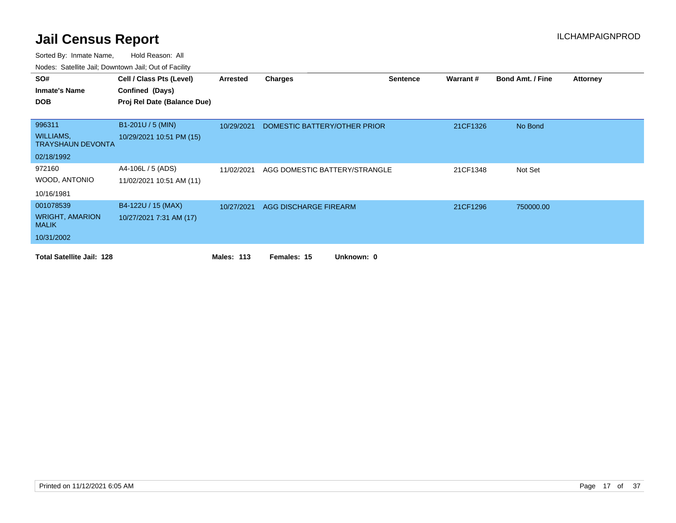| SO#                                          | Cell / Class Pts (Level)    | Arrested          | Charges                       | <b>Sentence</b> | Warrant# | <b>Bond Amt. / Fine</b> | <b>Attorney</b> |
|----------------------------------------------|-----------------------------|-------------------|-------------------------------|-----------------|----------|-------------------------|-----------------|
| <b>Inmate's Name</b>                         | Confined (Days)             |                   |                               |                 |          |                         |                 |
| <b>DOB</b>                                   | Proj Rel Date (Balance Due) |                   |                               |                 |          |                         |                 |
|                                              |                             |                   |                               |                 |          |                         |                 |
| 996311                                       | B1-201U / 5 (MIN)           | 10/29/2021        | DOMESTIC BATTERY/OTHER PRIOR  |                 | 21CF1326 | No Bond                 |                 |
| <b>WILLIAMS,</b><br><b>TRAYSHAUN DEVONTA</b> | 10/29/2021 10:51 PM (15)    |                   |                               |                 |          |                         |                 |
| 02/18/1992                                   |                             |                   |                               |                 |          |                         |                 |
| 972160                                       | A4-106L / 5 (ADS)           | 11/02/2021        | AGG DOMESTIC BATTERY/STRANGLE |                 | 21CF1348 | Not Set                 |                 |
| WOOD, ANTONIO                                | 11/02/2021 10:51 AM (11)    |                   |                               |                 |          |                         |                 |
| 10/16/1981                                   |                             |                   |                               |                 |          |                         |                 |
| 001078539                                    | B4-122U / 15 (MAX)          | 10/27/2021        | AGG DISCHARGE FIREARM         |                 | 21CF1296 | 750000.00               |                 |
| <b>WRIGHT, AMARION</b><br><b>MALIK</b>       | 10/27/2021 7:31 AM (17)     |                   |                               |                 |          |                         |                 |
| 10/31/2002                                   |                             |                   |                               |                 |          |                         |                 |
| <b>Total Satellite Jail: 128</b>             |                             | <b>Males: 113</b> | Females: 15<br>Unknown: 0     |                 |          |                         |                 |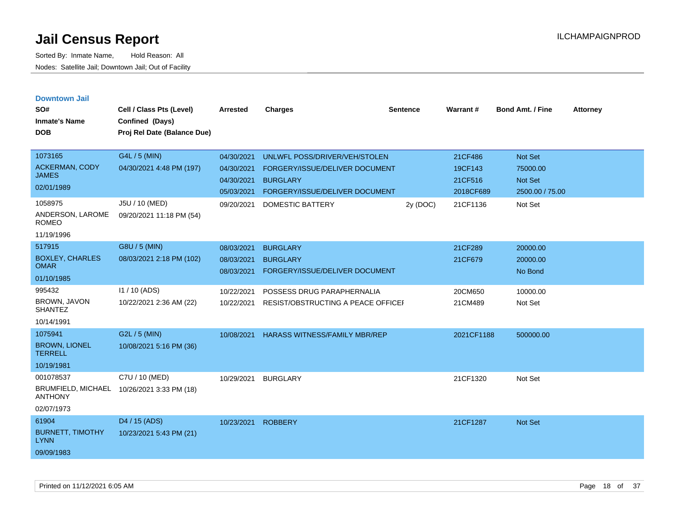|  | <b>Downtown Jail</b> |  |
|--|----------------------|--|
|  |                      |  |

| SO#<br><b>Inmate's Name</b><br><b>DOB</b>                              | Cell / Class Pts (Level)<br>Confined (Days)<br>Proj Rel Date (Balance Due) | <b>Arrested</b>                                      | <b>Charges</b>                                                                                                       | <b>Sentence</b> | Warrant#                                   | <b>Bond Amt. / Fine</b>                                  | <b>Attorney</b> |
|------------------------------------------------------------------------|----------------------------------------------------------------------------|------------------------------------------------------|----------------------------------------------------------------------------------------------------------------------|-----------------|--------------------------------------------|----------------------------------------------------------|-----------------|
| 1073165<br><b>ACKERMAN, CODY</b><br><b>JAMES</b><br>02/01/1989         | G4L / 5 (MIN)<br>04/30/2021 4:48 PM (197)                                  | 04/30/2021<br>04/30/2021<br>04/30/2021<br>05/03/2021 | UNLWFL POSS/DRIVER/VEH/STOLEN<br>FORGERY/ISSUE/DELIVER DOCUMENT<br><b>BURGLARY</b><br>FORGERY/ISSUE/DELIVER DOCUMENT |                 | 21CF486<br>19CF143<br>21CF516<br>2018CF689 | <b>Not Set</b><br>75000.00<br>Not Set<br>2500.00 / 75.00 |                 |
| 1058975<br>ANDERSON, LAROME<br><b>ROMEO</b><br>11/19/1996              | J5U / 10 (MED)<br>09/20/2021 11:18 PM (54)                                 | 09/20/2021                                           | DOMESTIC BATTERY                                                                                                     | 2y (DOC)        | 21CF1136                                   | Not Set                                                  |                 |
| 517915<br><b>BOXLEY, CHARLES</b><br><b>OMAR</b><br>01/10/1985          | G8U / 5 (MIN)<br>08/03/2021 2:18 PM (102)                                  | 08/03/2021<br>08/03/2021<br>08/03/2021               | <b>BURGLARY</b><br><b>BURGLARY</b><br>FORGERY/ISSUE/DELIVER DOCUMENT                                                 |                 | 21CF289<br>21CF679                         | 20000.00<br>20000.00<br>No Bond                          |                 |
| 995432<br>BROWN, JAVON<br><b>SHANTEZ</b><br>10/14/1991                 | I1 / 10 (ADS)<br>10/22/2021 2:36 AM (22)                                   | 10/22/2021<br>10/22/2021                             | POSSESS DRUG PARAPHERNALIA<br>RESIST/OBSTRUCTING A PEACE OFFICEF                                                     |                 | 20CM650<br>21CM489                         | 10000.00<br>Not Set                                      |                 |
| 1075941<br><b>BROWN, LIONEL</b><br><b>TERRELL</b><br>10/19/1981        | G2L / 5 (MIN)<br>10/08/2021 5:16 PM (36)                                   | 10/08/2021                                           | HARASS WITNESS/FAMILY MBR/REP                                                                                        |                 | 2021CF1188                                 | 500000.00                                                |                 |
| 001078537<br><b>BRUMFIELD, MICHAEL</b><br><b>ANTHONY</b><br>02/07/1973 | C7U / 10 (MED)<br>10/26/2021 3:33 PM (18)                                  | 10/29/2021                                           | <b>BURGLARY</b>                                                                                                      |                 | 21CF1320                                   | Not Set                                                  |                 |
| 61904<br><b>BURNETT, TIMOTHY</b><br><b>LYNN</b><br>09/09/1983          | D4 / 15 (ADS)<br>10/23/2021 5:43 PM (21)                                   | 10/23/2021                                           | <b>ROBBERY</b>                                                                                                       |                 | 21CF1287                                   | <b>Not Set</b>                                           |                 |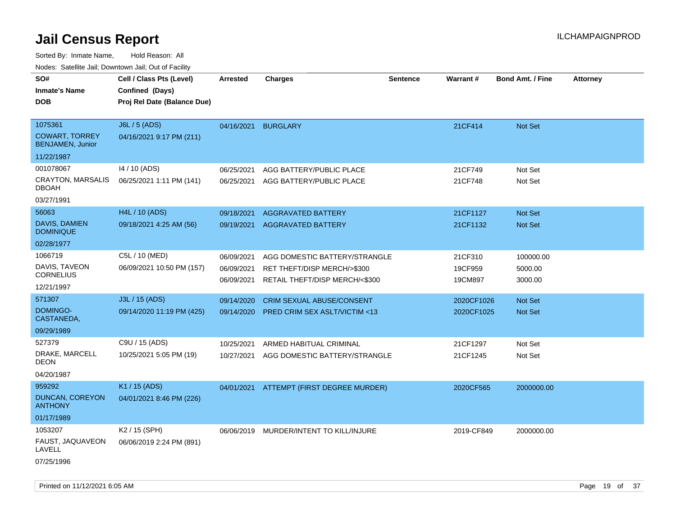Sorted By: Inmate Name, Hold Reason: All

|  | Nodes: Satellite Jail; Downtown Jail; Out of Facility |  |  |
|--|-------------------------------------------------------|--|--|
|  |                                                       |  |  |

| SO#<br><b>Inmate's Name</b>              | Cell / Class Pts (Level)<br>Confined (Days) | <b>Arrested</b> | <b>Charges</b>                                                        | <b>Sentence</b> | <b>Warrant#</b>          | <b>Bond Amt. / Fine</b> | <b>Attorney</b> |
|------------------------------------------|---------------------------------------------|-----------------|-----------------------------------------------------------------------|-----------------|--------------------------|-------------------------|-----------------|
| <b>DOB</b>                               | Proj Rel Date (Balance Due)                 |                 |                                                                       |                 |                          |                         |                 |
| 1075361<br><b>COWART, TORREY</b>         | J6L / 5 (ADS)<br>04/16/2021 9:17 PM (211)   | 04/16/2021      | <b>BURGLARY</b>                                                       |                 | 21CF414                  | Not Set                 |                 |
| <b>BENJAMEN, Junior</b><br>11/22/1987    |                                             |                 |                                                                       |                 |                          |                         |                 |
| 001078067                                | 14 / 10 (ADS)                               | 06/25/2021      | AGG BATTERY/PUBLIC PLACE                                              |                 | 21CF749                  | Not Set                 |                 |
| <b>CRAYTON, MARSALIS</b><br><b>DBOAH</b> | 06/25/2021 1:11 PM (141)                    | 06/25/2021      | AGG BATTERY/PUBLIC PLACE                                              |                 | 21CF748                  | Not Set                 |                 |
| 03/27/1991                               |                                             |                 |                                                                       |                 |                          |                         |                 |
| 56063                                    | H4L / 10 (ADS)                              | 09/18/2021      | <b>AGGRAVATED BATTERY</b>                                             |                 | 21CF1127                 | Not Set                 |                 |
| DAVIS, DAMIEN<br><b>DOMINIQUE</b>        | 09/18/2021 4:25 AM (56)                     | 09/19/2021      | <b>AGGRAVATED BATTERY</b>                                             |                 | 21CF1132                 | Not Set                 |                 |
| 02/28/1977                               |                                             |                 |                                                                       |                 |                          |                         |                 |
| 1066719                                  | C5L / 10 (MED)                              | 06/09/2021      | AGG DOMESTIC BATTERY/STRANGLE                                         |                 | 21CF310                  | 100000.00               |                 |
| DAVIS, TAVEON                            | 06/09/2021 10:50 PM (157)                   | 06/09/2021      | RET THEFT/DISP MERCH/>\$300                                           |                 | 19CF959                  | 5000.00                 |                 |
| <b>CORNELIUS</b>                         |                                             | 06/09/2021      | RETAIL THEFT/DISP MERCH/<\$300                                        |                 | 19CM897                  | 3000.00                 |                 |
| 12/21/1997<br>571307                     | J3L / 15 (ADS)                              |                 |                                                                       |                 |                          |                         |                 |
| DOMINGO-                                 | 09/14/2020 11:19 PM (425)                   | 09/14/2020      | CRIM SEXUAL ABUSE/CONSENT<br>09/14/2020 PRED CRIM SEX ASLT/VICTIM <13 |                 | 2020CF1026<br>2020CF1025 | Not Set<br>Not Set      |                 |
| CASTANEDA,                               |                                             |                 |                                                                       |                 |                          |                         |                 |
| 09/29/1989                               |                                             |                 |                                                                       |                 |                          |                         |                 |
| 527379                                   | C9U / 15 (ADS)                              | 10/25/2021      | ARMED HABITUAL CRIMINAL                                               |                 | 21CF1297                 | Not Set                 |                 |
| DRAKE, MARCELL<br><b>DEON</b>            | 10/25/2021 5:05 PM (19)                     | 10/27/2021      | AGG DOMESTIC BATTERY/STRANGLE                                         |                 | 21CF1245                 | Not Set                 |                 |
| 04/20/1987                               |                                             |                 |                                                                       |                 |                          |                         |                 |
| 959292                                   | K1 / 15 (ADS)                               | 04/01/2021      | ATTEMPT (FIRST DEGREE MURDER)                                         |                 | 2020CF565                | 2000000.00              |                 |
| DUNCAN, COREYON<br><b>ANTHONY</b>        | 04/01/2021 8:46 PM (226)                    |                 |                                                                       |                 |                          |                         |                 |
| 01/17/1989                               |                                             |                 |                                                                       |                 |                          |                         |                 |
| 1053207                                  | K2 / 15 (SPH)                               |                 | 06/06/2019 MURDER/INTENT TO KILL/INJURE                               |                 | 2019-CF849               | 2000000.00              |                 |
| FAUST, JAQUAVEON<br>LAVELL               | 06/06/2019 2:24 PM (891)                    |                 |                                                                       |                 |                          |                         |                 |
| 07/25/1996                               |                                             |                 |                                                                       |                 |                          |                         |                 |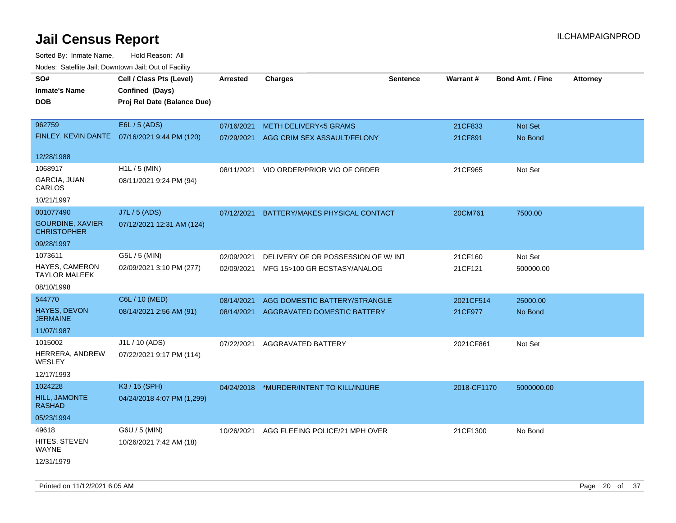| rougs. Calcing Jan, Downtown Jan, Out of Facility |                                              |                 |                                           |                 |             |                         |                 |
|---------------------------------------------------|----------------------------------------------|-----------------|-------------------------------------------|-----------------|-------------|-------------------------|-----------------|
| SO#                                               | Cell / Class Pts (Level)                     | <b>Arrested</b> | <b>Charges</b>                            | <b>Sentence</b> | Warrant#    | <b>Bond Amt. / Fine</b> | <b>Attorney</b> |
| <b>Inmate's Name</b>                              | Confined (Days)                              |                 |                                           |                 |             |                         |                 |
| <b>DOB</b>                                        | Proj Rel Date (Balance Due)                  |                 |                                           |                 |             |                         |                 |
|                                                   |                                              |                 |                                           |                 |             |                         |                 |
| 962759                                            | E6L / 5 (ADS)                                | 07/16/2021      | <b>METH DELIVERY&lt;5 GRAMS</b>           |                 | 21CF833     | Not Set                 |                 |
|                                                   | FINLEY, KEVIN DANTE 07/16/2021 9:44 PM (120) | 07/29/2021      | AGG CRIM SEX ASSAULT/FELONY               |                 | 21CF891     | No Bond                 |                 |
|                                                   |                                              |                 |                                           |                 |             |                         |                 |
| 12/28/1988                                        |                                              |                 |                                           |                 |             |                         |                 |
| 1068917                                           | H1L / 5 (MIN)                                | 08/11/2021      | VIO ORDER/PRIOR VIO OF ORDER              |                 | 21CF965     | Not Set                 |                 |
| GARCIA, JUAN<br>CARLOS                            | 08/11/2021 9:24 PM (94)                      |                 |                                           |                 |             |                         |                 |
| 10/21/1997                                        |                                              |                 |                                           |                 |             |                         |                 |
| 001077490                                         | J7L / 5 (ADS)                                | 07/12/2021      | BATTERY/MAKES PHYSICAL CONTACT            |                 | 20CM761     | 7500.00                 |                 |
| <b>GOURDINE, XAVIER</b><br><b>CHRISTOPHER</b>     | 07/12/2021 12:31 AM (124)                    |                 |                                           |                 |             |                         |                 |
| 09/28/1997                                        |                                              |                 |                                           |                 |             |                         |                 |
| 1073611                                           | G5L / 5 (MIN)                                | 02/09/2021      | DELIVERY OF OR POSSESSION OF W/INT        |                 | 21CF160     | Not Set                 |                 |
| <b>HAYES, CAMERON</b><br><b>TAYLOR MALEEK</b>     | 02/09/2021 3:10 PM (277)                     | 02/09/2021      | MFG 15>100 GR ECSTASY/ANALOG              |                 | 21CF121     | 500000.00               |                 |
| 08/10/1998                                        |                                              |                 |                                           |                 |             |                         |                 |
| 544770                                            | C6L / 10 (MED)                               | 08/14/2021      | AGG DOMESTIC BATTERY/STRANGLE             |                 | 2021CF514   | 25000.00                |                 |
| <b>HAYES, DEVON</b><br><b>JERMAINE</b>            | 08/14/2021 2:56 AM (91)                      | 08/14/2021      | AGGRAVATED DOMESTIC BATTERY               |                 | 21CF977     | No Bond                 |                 |
| 11/07/1987                                        |                                              |                 |                                           |                 |             |                         |                 |
| 1015002                                           | J1L / 10 (ADS)                               | 07/22/2021      | <b>AGGRAVATED BATTERY</b>                 |                 | 2021CF861   | Not Set                 |                 |
| HERRERA, ANDREW<br>WESLEY                         | 07/22/2021 9:17 PM (114)                     |                 |                                           |                 |             |                         |                 |
| 12/17/1993                                        |                                              |                 |                                           |                 |             |                         |                 |
| 1024228                                           | K3 / 15 (SPH)                                |                 | 04/24/2018 *MURDER/INTENT TO KILL/INJURE  |                 | 2018-CF1170 | 5000000.00              |                 |
| <b>HILL, JAMONTE</b><br><b>RASHAD</b>             | 04/24/2018 4:07 PM (1,299)                   |                 |                                           |                 |             |                         |                 |
| 05/23/1994                                        |                                              |                 |                                           |                 |             |                         |                 |
| 49618                                             | G6U / 5 (MIN)                                |                 | 10/26/2021 AGG FLEEING POLICE/21 MPH OVER |                 | 21CF1300    | No Bond                 |                 |
| HITES, STEVEN<br>WAYNE                            | 10/26/2021 7:42 AM (18)                      |                 |                                           |                 |             |                         |                 |
| 12/31/1979                                        |                                              |                 |                                           |                 |             |                         |                 |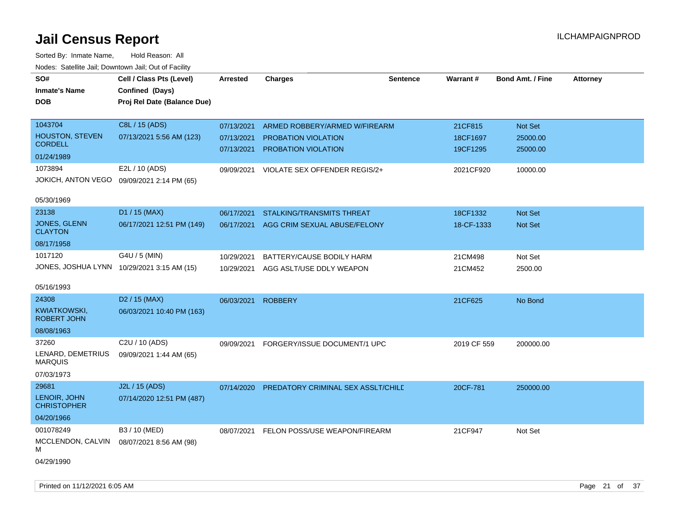| SO#<br><b>Inmate's Name</b><br>DOB         | Cell / Class Pts (Level)<br>Confined (Days)<br>Proj Rel Date (Balance Due) | Arrested   | <b>Charges</b>                     | <b>Sentence</b> | Warrant#    | <b>Bond Amt. / Fine</b> | <b>Attorney</b> |
|--------------------------------------------|----------------------------------------------------------------------------|------------|------------------------------------|-----------------|-------------|-------------------------|-----------------|
| 1043704                                    | C8L / 15 (ADS)                                                             | 07/13/2021 | ARMED ROBBERY/ARMED W/FIREARM      |                 | 21CF815     | Not Set                 |                 |
| <b>HOUSTON, STEVEN</b><br><b>CORDELL</b>   | 07/13/2021 5:56 AM (123)                                                   | 07/13/2021 | <b>PROBATION VIOLATION</b>         |                 | 18CF1697    | 25000.00                |                 |
| 01/24/1989                                 |                                                                            | 07/13/2021 | PROBATION VIOLATION                |                 | 19CF1295    | 25000.00                |                 |
| 1073894                                    | E2L / 10 (ADS)                                                             | 09/09/2021 | VIOLATE SEX OFFENDER REGIS/2+      |                 | 2021CF920   | 10000.00                |                 |
| JOKICH, ANTON VEGO                         | 09/09/2021 2:14 PM (65)                                                    |            |                                    |                 |             |                         |                 |
| 05/30/1969                                 |                                                                            |            |                                    |                 |             |                         |                 |
| 23138                                      | D1 / 15 (MAX)                                                              | 06/17/2021 | STALKING/TRANSMITS THREAT          |                 | 18CF1332    | Not Set                 |                 |
| <b>JONES, GLENN</b><br><b>CLAYTON</b>      | 06/17/2021 12:51 PM (149)                                                  | 06/17/2021 | AGG CRIM SEXUAL ABUSE/FELONY       |                 | 18-CF-1333  | Not Set                 |                 |
| 08/17/1958                                 |                                                                            |            |                                    |                 |             |                         |                 |
| 1017120                                    | G4U / 5 (MIN)                                                              | 10/29/2021 | BATTERY/CAUSE BODILY HARM          |                 | 21CM498     | Not Set                 |                 |
| JONES, JOSHUA LYNN 10/29/2021 3:15 AM (15) |                                                                            | 10/29/2021 | AGG ASLT/USE DDLY WEAPON           |                 | 21CM452     | 2500.00                 |                 |
| 05/16/1993                                 |                                                                            |            |                                    |                 |             |                         |                 |
| 24308                                      | D <sub>2</sub> / 15 (MAX)                                                  | 06/03/2021 | <b>ROBBERY</b>                     |                 | 21CF625     | No Bond                 |                 |
| KWIATKOWSKI,<br><b>ROBERT JOHN</b>         | 06/03/2021 10:40 PM (163)                                                  |            |                                    |                 |             |                         |                 |
| 08/08/1963                                 |                                                                            |            |                                    |                 |             |                         |                 |
| 37260                                      | C <sub>2</sub> U / 10 (ADS)                                                | 09/09/2021 | FORGERY/ISSUE DOCUMENT/1 UPC       |                 | 2019 CF 559 | 200000.00               |                 |
| LENARD, DEMETRIUS<br><b>MARQUIS</b>        | 09/09/2021 1:44 AM (65)                                                    |            |                                    |                 |             |                         |                 |
| 07/03/1973                                 |                                                                            |            |                                    |                 |             |                         |                 |
| 29681                                      | J2L / 15 (ADS)                                                             | 07/14/2020 | PREDATORY CRIMINAL SEX ASSLT/CHILD |                 | 20CF-781    | 250000.00               |                 |
| LENOIR, JOHN<br><b>CHRISTOPHER</b>         | 07/14/2020 12:51 PM (487)                                                  |            |                                    |                 |             |                         |                 |
| 04/20/1966                                 |                                                                            |            |                                    |                 |             |                         |                 |
| 001078249                                  | B3 / 10 (MED)                                                              | 08/07/2021 | FELON POSS/USE WEAPON/FIREARM      |                 | 21CF947     | Not Set                 |                 |
| MCCLENDON, CALVIN<br>М                     | 08/07/2021 8:56 AM (98)                                                    |            |                                    |                 |             |                         |                 |
| 04/29/1990                                 |                                                                            |            |                                    |                 |             |                         |                 |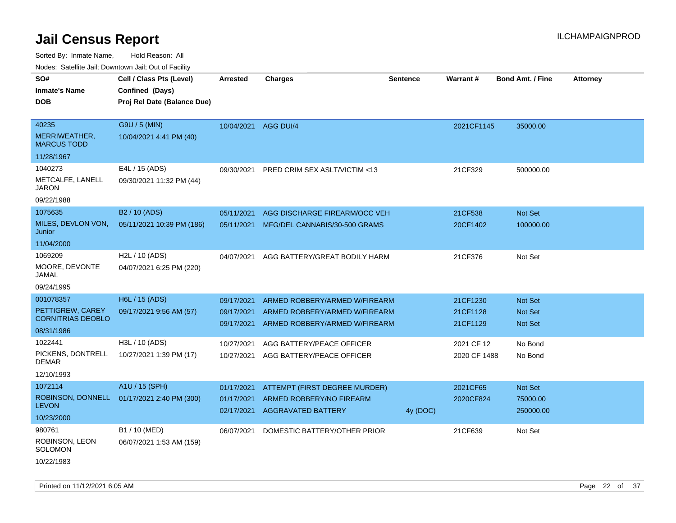Sorted By: Inmate Name, Hold Reason: All Nodes: Satellite Jail; Downtown Jail; Out of Facility

| Nuuts. Saltiille Jall, Duwilluwii Jall, Oul of Facility |                             |            |                                         |                 |              |                         |                 |
|---------------------------------------------------------|-----------------------------|------------|-----------------------------------------|-----------------|--------------|-------------------------|-----------------|
| SO#                                                     | Cell / Class Pts (Level)    | Arrested   | <b>Charges</b>                          | <b>Sentence</b> | Warrant#     | <b>Bond Amt. / Fine</b> | <b>Attorney</b> |
| <b>Inmate's Name</b>                                    | Confined (Days)             |            |                                         |                 |              |                         |                 |
| <b>DOB</b>                                              | Proj Rel Date (Balance Due) |            |                                         |                 |              |                         |                 |
|                                                         |                             |            |                                         |                 |              |                         |                 |
| 40235                                                   | G9U / 5 (MIN)               | 10/04/2021 | AGG DUI/4                               |                 | 2021CF1145   | 35000.00                |                 |
| MERRIWEATHER,<br><b>MARCUS TODD</b>                     | 10/04/2021 4:41 PM (40)     |            |                                         |                 |              |                         |                 |
| 11/28/1967                                              |                             |            |                                         |                 |              |                         |                 |
| 1040273                                                 | E4L / 15 (ADS)              | 09/30/2021 | <b>PRED CRIM SEX ASLT/VICTIM &lt;13</b> |                 | 21CF329      | 500000.00               |                 |
| METCALFE, LANELL<br>JARON                               | 09/30/2021 11:32 PM (44)    |            |                                         |                 |              |                         |                 |
| 09/22/1988                                              |                             |            |                                         |                 |              |                         |                 |
| 1075635                                                 | B2 / 10 (ADS)               | 05/11/2021 | AGG DISCHARGE FIREARM/OCC VEH           |                 | 21CF538      | Not Set                 |                 |
| MILES, DEVLON VON,<br>Junior                            | 05/11/2021 10:39 PM (186)   | 05/11/2021 | MFG/DEL CANNABIS/30-500 GRAMS           |                 | 20CF1402     | 100000.00               |                 |
| 11/04/2000                                              |                             |            |                                         |                 |              |                         |                 |
| 1069209                                                 | H2L / 10 (ADS)              | 04/07/2021 | AGG BATTERY/GREAT BODILY HARM           |                 | 21CF376      | Not Set                 |                 |
| MOORE, DEVONTE<br>JAMAL                                 | 04/07/2021 6:25 PM (220)    |            |                                         |                 |              |                         |                 |
| 09/24/1995                                              |                             |            |                                         |                 |              |                         |                 |
| 001078357                                               | H6L / 15 (ADS)              | 09/17/2021 | ARMED ROBBERY/ARMED W/FIREARM           |                 | 21CF1230     | <b>Not Set</b>          |                 |
| PETTIGREW, CAREY                                        | 09/17/2021 9:56 AM (57)     | 09/17/2021 | ARMED ROBBERY/ARMED W/FIREARM           |                 | 21CF1128     | <b>Not Set</b>          |                 |
| <b>CORNITRIAS DEOBLO</b>                                |                             | 09/17/2021 | ARMED ROBBERY/ARMED W/FIREARM           |                 | 21CF1129     | <b>Not Set</b>          |                 |
| 08/31/1986                                              |                             |            |                                         |                 |              |                         |                 |
| 1022441                                                 | H3L / 10 (ADS)              | 10/27/2021 | AGG BATTERY/PEACE OFFICER               |                 | 2021 CF 12   | No Bond                 |                 |
| PICKENS, DONTRELL<br><b>DEMAR</b>                       | 10/27/2021 1:39 PM (17)     | 10/27/2021 | AGG BATTERY/PEACE OFFICER               |                 | 2020 CF 1488 | No Bond                 |                 |
| 12/10/1993                                              |                             |            |                                         |                 |              |                         |                 |
| 1072114                                                 | A1U / 15 (SPH)              | 01/17/2021 | ATTEMPT (FIRST DEGREE MURDER)           |                 | 2021CF65     | <b>Not Set</b>          |                 |
| ROBINSON, DONNELL                                       | 01/17/2021 2:40 PM (300)    | 01/17/2021 | ARMED ROBBERY/NO FIREARM                |                 | 2020CF824    | 75000.00                |                 |
| <b>LEVON</b>                                            |                             | 02/17/2021 | <b>AGGRAVATED BATTERY</b>               | 4y (DOC)        |              | 250000.00               |                 |
| 10/23/2000                                              |                             |            |                                         |                 |              |                         |                 |
| 980761                                                  | B1 / 10 (MED)               | 06/07/2021 | DOMESTIC BATTERY/OTHER PRIOR            |                 | 21CF639      | Not Set                 |                 |
| ROBINSON, LEON<br>SOLOMON                               | 06/07/2021 1:53 AM (159)    |            |                                         |                 |              |                         |                 |
| 10/22/1983                                              |                             |            |                                         |                 |              |                         |                 |

Printed on 11/12/2021 6:05 AM **Page 22 of 37**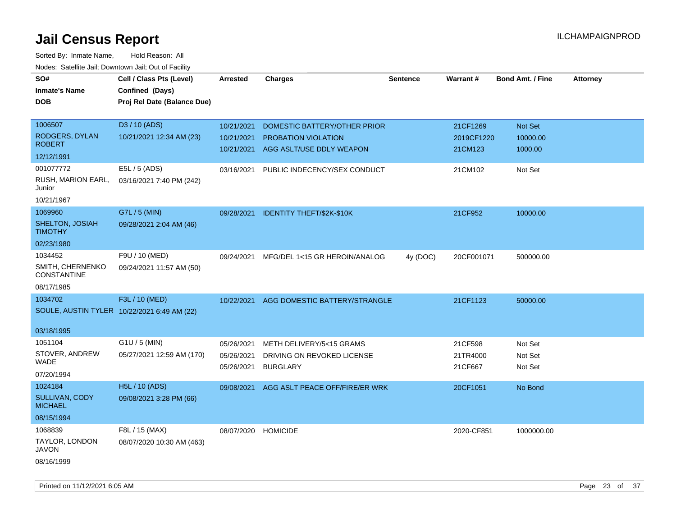| SO#                                    | Cell / Class Pts (Level)                    | Arrested   | <b>Charges</b>                   | <b>Sentence</b> | Warrant#   | <b>Bond Amt. / Fine</b> | <b>Attorney</b> |
|----------------------------------------|---------------------------------------------|------------|----------------------------------|-----------------|------------|-------------------------|-----------------|
| <b>Inmate's Name</b>                   | Confined (Days)                             |            |                                  |                 |            |                         |                 |
| <b>DOB</b>                             | Proj Rel Date (Balance Due)                 |            |                                  |                 |            |                         |                 |
|                                        |                                             |            |                                  |                 |            |                         |                 |
| 1006507                                | D3 / 10 (ADS)                               | 10/21/2021 | DOMESTIC BATTERY/OTHER PRIOR     |                 | 21CF1269   | Not Set                 |                 |
| RODGERS, DYLAN                         | 10/21/2021 12:34 AM (23)                    | 10/21/2021 | PROBATION VIOLATION              |                 | 2019CF1220 | 10000.00                |                 |
| <b>ROBERT</b>                          |                                             | 10/21/2021 | AGG ASLT/USE DDLY WEAPON         |                 | 21CM123    | 1000.00                 |                 |
| 12/12/1991                             |                                             |            |                                  |                 |            |                         |                 |
| 001077772                              | E5L / 5 (ADS)                               | 03/16/2021 | PUBLIC INDECENCY/SEX CONDUCT     |                 | 21CM102    | Not Set                 |                 |
| RUSH, MARION EARL,<br>Junior           | 03/16/2021 7:40 PM (242)                    |            |                                  |                 |            |                         |                 |
| 10/21/1967                             |                                             |            |                                  |                 |            |                         |                 |
| 1069960                                | G7L / 5 (MIN)                               | 09/28/2021 | <b>IDENTITY THEFT/\$2K-\$10K</b> |                 | 21CF952    | 10000.00                |                 |
| SHELTON, JOSIAH<br><b>TIMOTHY</b>      | 09/28/2021 2:04 AM (46)                     |            |                                  |                 |            |                         |                 |
| 02/23/1980                             |                                             |            |                                  |                 |            |                         |                 |
| 1034452                                | F9U / 10 (MED)                              | 09/24/2021 | MFG/DEL 1<15 GR HEROIN/ANALOG    | 4y (DOC)        | 20CF001071 | 500000.00               |                 |
| SMITH, CHERNENKO<br><b>CONSTANTINE</b> | 09/24/2021 11:57 AM (50)                    |            |                                  |                 |            |                         |                 |
| 08/17/1985                             |                                             |            |                                  |                 |            |                         |                 |
| 1034702                                | F3L / 10 (MED)                              | 10/22/2021 | AGG DOMESTIC BATTERY/STRANGLE    |                 | 21CF1123   | 50000.00                |                 |
|                                        | SOULE, AUSTIN TYLER 10/22/2021 6:49 AM (22) |            |                                  |                 |            |                         |                 |
| 03/18/1995                             |                                             |            |                                  |                 |            |                         |                 |
| 1051104                                | G1U / 5 (MIN)                               | 05/26/2021 | METH DELIVERY/5<15 GRAMS         |                 | 21CF598    | Not Set                 |                 |
| STOVER, ANDREW                         | 05/27/2021 12:59 AM (170)                   | 05/26/2021 | DRIVING ON REVOKED LICENSE       |                 | 21TR4000   | Not Set                 |                 |
| WADE                                   |                                             | 05/26/2021 | <b>BURGLARY</b>                  |                 | 21CF667    | Not Set                 |                 |
| 07/20/1994                             |                                             |            |                                  |                 |            |                         |                 |
| 1024184                                | H5L / 10 (ADS)                              | 09/08/2021 | AGG ASLT PEACE OFF/FIRE/ER WRK   |                 | 20CF1051   | No Bond                 |                 |
| SULLIVAN, CODY<br><b>MICHAEL</b>       | 09/08/2021 3:28 PM (66)                     |            |                                  |                 |            |                         |                 |
| 08/15/1994                             |                                             |            |                                  |                 |            |                         |                 |
| 1068839                                | F8L / 15 (MAX)                              | 08/07/2020 | <b>HOMICIDE</b>                  |                 | 2020-CF851 | 1000000.00              |                 |
| TAYLOR, LONDON<br>JAVON                | 08/07/2020 10:30 AM (463)                   |            |                                  |                 |            |                         |                 |
| 08/16/1999                             |                                             |            |                                  |                 |            |                         |                 |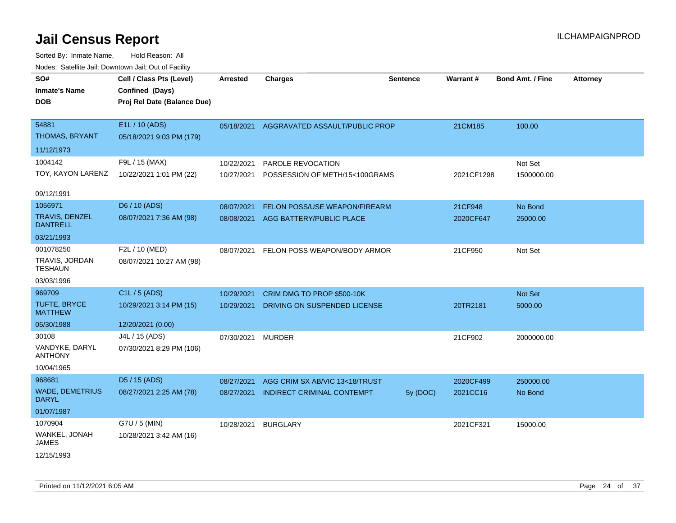| SO#<br><b>Inmate's Name</b><br>DOB            | Cell / Class Pts (Level)<br>Confined (Days)<br>Proj Rel Date (Balance Due) | <b>Arrested</b>   | <b>Charges</b>                 | <b>Sentence</b> | Warrant#   | Bond Amt. / Fine | <b>Attorney</b> |
|-----------------------------------------------|----------------------------------------------------------------------------|-------------------|--------------------------------|-----------------|------------|------------------|-----------------|
| 54881<br>THOMAS, BRYANT                       | E1L / 10 (ADS)<br>05/18/2021 9:03 PM (179)                                 | 05/18/2021        | AGGRAVATED ASSAULT/PUBLIC PROP |                 | 21CM185    | 100.00           |                 |
| 11/12/1973                                    |                                                                            |                   |                                |                 |            |                  |                 |
| 1004142                                       | F9L / 15 (MAX)                                                             | 10/22/2021        | PAROLE REVOCATION              |                 |            | Not Set          |                 |
| TOY, KAYON LARENZ                             | 10/22/2021 1:01 PM (22)                                                    | 10/27/2021        | POSSESSION OF METH/15<100GRAMS |                 | 2021CF1298 | 1500000.00       |                 |
| 09/12/1991                                    |                                                                            |                   |                                |                 |            |                  |                 |
| 1056971                                       | D6 / 10 (ADS)                                                              | 08/07/2021        | FELON POSS/USE WEAPON/FIREARM  |                 | 21CF948    | No Bond          |                 |
| <b>TRAVIS, DENZEL</b><br><b>DANTRELL</b>      | 08/07/2021 7:36 AM (98)                                                    | 08/08/2021        | AGG BATTERY/PUBLIC PLACE       |                 | 2020CF647  | 25000.00         |                 |
| 03/21/1993                                    |                                                                            |                   |                                |                 |            |                  |                 |
| 001078250<br>TRAVIS, JORDAN<br><b>TESHAUN</b> | F2L / 10 (MED)<br>08/07/2021 10:27 AM (98)                                 | 08/07/2021        | FELON POSS WEAPON/BODY ARMOR   |                 | 21CF950    | Not Set          |                 |
| 03/03/1996                                    |                                                                            |                   |                                |                 |            |                  |                 |
| 969709                                        | C <sub>1</sub> L / 5 (ADS)                                                 | 10/29/2021        | CRIM DMG TO PROP \$500-10K     |                 |            | Not Set          |                 |
| <b>TUFTE, BRYCE</b><br><b>MATTHEW</b>         | 10/29/2021 3:14 PM (15)                                                    | 10/29/2021        | DRIVING ON SUSPENDED LICENSE   |                 | 20TR2181   | 5000.00          |                 |
| 05/30/1988                                    | 12/20/2021 (0.00)                                                          |                   |                                |                 |            |                  |                 |
| 30108                                         | J4L / 15 (ADS)                                                             | 07/30/2021 MURDER |                                |                 | 21CF902    | 2000000.00       |                 |
| VANDYKE, DARYL<br><b>ANTHONY</b>              | 07/30/2021 8:29 PM (106)                                                   |                   |                                |                 |            |                  |                 |
| 10/04/1965                                    |                                                                            |                   |                                |                 |            |                  |                 |
| 968681                                        | D5 / 15 (ADS)                                                              | 08/27/2021        | AGG CRIM SX AB/VIC 13<18/TRUST |                 | 2020CF499  | 250000.00        |                 |
| <b>WADE, DEMETRIUS</b><br><b>DARYL</b>        | 08/27/2021 2:25 AM (78)                                                    | 08/27/2021        | INDIRECT CRIMINAL CONTEMPT     | 5y (DOC)        | 2021CC16   | No Bond          |                 |
| 01/07/1987                                    |                                                                            |                   |                                |                 |            |                  |                 |
| 1070904                                       | G7U / 5 (MIN)                                                              | 10/28/2021        | <b>BURGLARY</b>                |                 | 2021CF321  | 15000.00         |                 |
| WANKEL, JONAH<br><b>JAMES</b>                 | 10/28/2021 3:42 AM (16)                                                    |                   |                                |                 |            |                  |                 |
| 12/15/1993                                    |                                                                            |                   |                                |                 |            |                  |                 |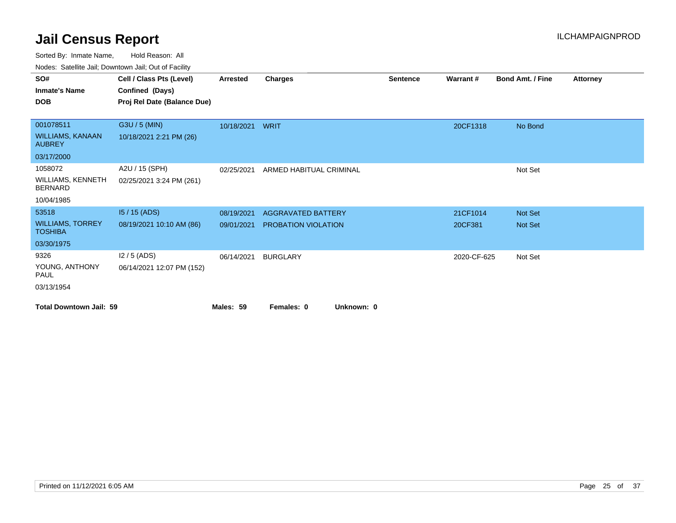Sorted By: Inmate Name, Hold Reason: All

| SO#<br><b>Inmate's Name</b><br><b>DOB</b>                           | Cell / Class Pts (Level)<br>Confined (Days)<br>Proj Rel Date (Balance Due) | <b>Arrested</b>          | Charges                                          | <b>Sentence</b> | Warrant#            | <b>Bond Amt. / Fine</b> | Attorney |
|---------------------------------------------------------------------|----------------------------------------------------------------------------|--------------------------|--------------------------------------------------|-----------------|---------------------|-------------------------|----------|
| 001078511<br><b>WILLIAMS, KANAAN</b><br><b>AUBREY</b><br>03/17/2000 | G3U / 5 (MIN)<br>10/18/2021 2:21 PM (26)                                   | 10/18/2021 WRIT          |                                                  |                 | 20CF1318            | No Bond                 |          |
| 1058072<br>WILLIAMS, KENNETH<br><b>BERNARD</b><br>10/04/1985        | A2U / 15 (SPH)<br>02/25/2021 3:24 PM (261)                                 | 02/25/2021               | ARMED HABITUAL CRIMINAL                          |                 |                     | Not Set                 |          |
| 53518<br><b>WILLIAMS, TORREY</b><br><b>TOSHIBA</b><br>03/30/1975    | $15/15$ (ADS)<br>08/19/2021 10:10 AM (86)                                  | 08/19/2021<br>09/01/2021 | <b>AGGRAVATED BATTERY</b><br>PROBATION VIOLATION |                 | 21CF1014<br>20CF381 | Not Set<br>Not Set      |          |
| 9326<br>YOUNG, ANTHONY<br><b>PAUL</b><br>03/13/1954                 | $12/5$ (ADS)<br>06/14/2021 12:07 PM (152)                                  | 06/14/2021               | <b>BURGLARY</b>                                  |                 | 2020-CF-625         | Not Set                 |          |
| <b>Total Downtown Jail: 59</b>                                      |                                                                            | Males: 59                | Females: 0<br>Unknown: 0                         |                 |                     |                         |          |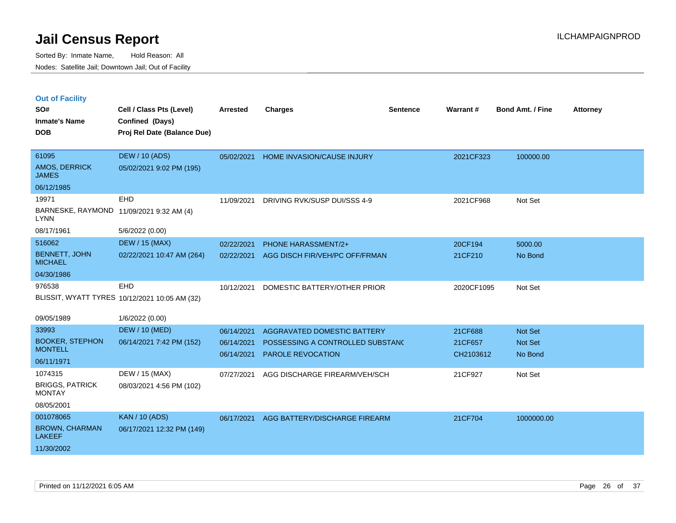|  |  | <b>Out of Facility</b> |
|--|--|------------------------|
|  |  |                        |

| SO#<br><b>Inmate's Name</b><br><b>DOB</b>                         | Cell / Class Pts (Level)<br>Confined (Days)<br>Proj Rel Date (Balance Due) | <b>Arrested</b>                        | <b>Charges</b>                                                                              | <b>Sentence</b> | Warrant#                        | <b>Bond Amt. / Fine</b>              | <b>Attorney</b> |
|-------------------------------------------------------------------|----------------------------------------------------------------------------|----------------------------------------|---------------------------------------------------------------------------------------------|-----------------|---------------------------------|--------------------------------------|-----------------|
| 61095<br>AMOS, DERRICK<br><b>JAMES</b>                            | <b>DEW / 10 (ADS)</b><br>05/02/2021 9:02 PM (195)                          | 05/02/2021                             | HOME INVASION/CAUSE INJURY                                                                  |                 | 2021CF323                       | 100000.00                            |                 |
| 06/12/1985<br>19971<br><b>LYNN</b>                                | <b>EHD</b><br>BARNESKE, RAYMOND 11/09/2021 9:32 AM (4)                     | 11/09/2021                             | DRIVING RVK/SUSP DUI/SSS 4-9                                                                |                 | 2021CF968                       | Not Set                              |                 |
| 08/17/1961<br>516062<br><b>BENNETT, JOHN</b><br><b>MICHAEL</b>    | 5/6/2022 (0.00)<br><b>DEW / 15 (MAX)</b><br>02/22/2021 10:47 AM (264)      | 02/22/2021<br>02/22/2021               | <b>PHONE HARASSMENT/2+</b><br>AGG DISCH FIR/VEH/PC OFF/FRMAN                                |                 | 20CF194<br>21CF210              | 5000.00<br>No Bond                   |                 |
| 04/30/1986<br>976538                                              | EHD<br>BLISSIT, WYATT TYRES 10/12/2021 10:05 AM (32)                       | 10/12/2021                             | DOMESTIC BATTERY/OTHER PRIOR                                                                |                 | 2020CF1095                      | Not Set                              |                 |
| 09/05/1989                                                        | 1/6/2022 (0.00)                                                            |                                        |                                                                                             |                 |                                 |                                      |                 |
| 33993<br><b>BOOKER, STEPHON</b><br><b>MONTELL</b><br>06/11/1971   | <b>DEW / 10 (MED)</b><br>06/14/2021 7:42 PM (152)                          | 06/14/2021<br>06/14/2021<br>06/14/2021 | AGGRAVATED DOMESTIC BATTERY<br>POSSESSING A CONTROLLED SUBSTANC<br><b>PAROLE REVOCATION</b> |                 | 21CF688<br>21CF657<br>CH2103612 | Not Set<br><b>Not Set</b><br>No Bond |                 |
| 1074315<br><b>BRIGGS, PATRICK</b><br><b>MONTAY</b><br>08/05/2001  | DEW / 15 (MAX)<br>08/03/2021 4:56 PM (102)                                 | 07/27/2021                             | AGG DISCHARGE FIREARM/VEH/SCH                                                               |                 | 21CF927                         | Not Set                              |                 |
| 001078065<br><b>BROWN, CHARMAN</b><br><b>LAKEEF</b><br>11/30/2002 | <b>KAN / 10 (ADS)</b><br>06/17/2021 12:32 PM (149)                         | 06/17/2021                             | AGG BATTERY/DISCHARGE FIREARM                                                               |                 | 21CF704                         | 1000000.00                           |                 |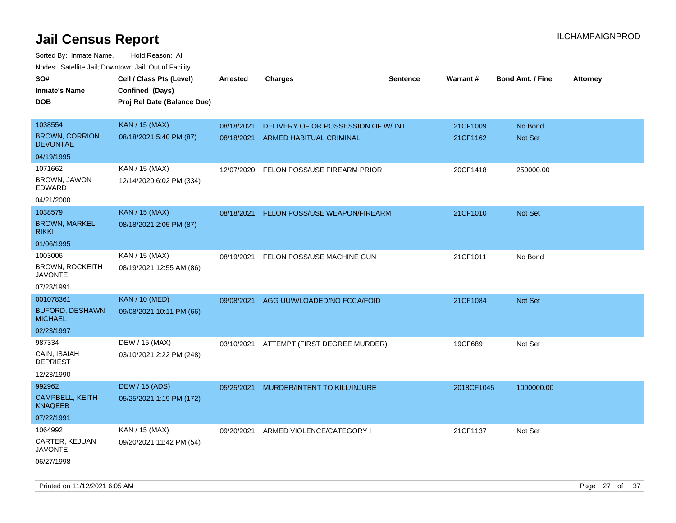| rougs. Calcing Jan, Downtown Jan, Out of Facility   |                                                                            |                          |                                                               |                 |                      |                           |                 |
|-----------------------------------------------------|----------------------------------------------------------------------------|--------------------------|---------------------------------------------------------------|-----------------|----------------------|---------------------------|-----------------|
| SO#<br><b>Inmate's Name</b><br><b>DOB</b>           | Cell / Class Pts (Level)<br>Confined (Days)<br>Proj Rel Date (Balance Due) | <b>Arrested</b>          | <b>Charges</b>                                                | <b>Sentence</b> | Warrant#             | <b>Bond Amt. / Fine</b>   | <b>Attorney</b> |
| 1038554<br><b>BROWN, CORRION</b>                    | <b>KAN / 15 (MAX)</b><br>08/18/2021 5:40 PM (87)                           | 08/18/2021<br>08/18/2021 | DELIVERY OF OR POSSESSION OF W/INT<br>ARMED HABITUAL CRIMINAL |                 | 21CF1009<br>21CF1162 | No Bond<br><b>Not Set</b> |                 |
| <b>DEVONTAE</b><br>04/19/1995                       |                                                                            |                          |                                                               |                 |                      |                           |                 |
| 1071662<br>BROWN, JAWON<br>EDWARD<br>04/21/2000     | KAN / 15 (MAX)<br>12/14/2020 6:02 PM (334)                                 | 12/07/2020               | FELON POSS/USE FIREARM PRIOR                                  |                 | 20CF1418             | 250000.00                 |                 |
| 1038579<br><b>BROWN, MARKEL</b><br><b>RIKKI</b>     | <b>KAN / 15 (MAX)</b><br>08/18/2021 2:05 PM (87)                           | 08/18/2021               | FELON POSS/USE WEAPON/FIREARM                                 |                 | 21CF1010             | Not Set                   |                 |
| 01/06/1995                                          |                                                                            |                          |                                                               |                 |                      |                           |                 |
| 1003006<br><b>BROWN, ROCKEITH</b><br><b>JAVONTE</b> | KAN / 15 (MAX)<br>08/19/2021 12:55 AM (86)                                 | 08/19/2021               | FELON POSS/USE MACHINE GUN                                    |                 | 21CF1011             | No Bond                   |                 |
| 07/23/1991                                          |                                                                            |                          |                                                               |                 |                      |                           |                 |
| 001078361                                           | <b>KAN / 10 (MED)</b>                                                      | 09/08/2021               | AGG UUW/LOADED/NO FCCA/FOID                                   |                 | 21CF1084             | <b>Not Set</b>            |                 |
| <b>BUFORD, DESHAWN</b><br><b>MICHAEL</b>            | 09/08/2021 10:11 PM (66)                                                   |                          |                                                               |                 |                      |                           |                 |
| 02/23/1997                                          |                                                                            |                          |                                                               |                 |                      |                           |                 |
| 987334                                              | DEW / 15 (MAX)                                                             |                          | 03/10/2021 ATTEMPT (FIRST DEGREE MURDER)                      |                 | 19CF689              | Not Set                   |                 |
| CAIN, ISAIAH<br><b>DEPRIEST</b>                     | 03/10/2021 2:22 PM (248)                                                   |                          |                                                               |                 |                      |                           |                 |
| 12/23/1990                                          |                                                                            |                          |                                                               |                 |                      |                           |                 |
| 992962                                              | <b>DEW / 15 (ADS)</b>                                                      | 05/25/2021               | MURDER/INTENT TO KILL/INJURE                                  |                 | 2018CF1045           | 1000000.00                |                 |
| <b>CAMPBELL, KEITH</b><br><b>KNAQEEB</b>            | 05/25/2021 1:19 PM (172)                                                   |                          |                                                               |                 |                      |                           |                 |
| 07/22/1991                                          |                                                                            |                          |                                                               |                 |                      |                           |                 |
| 1064992                                             | KAN / 15 (MAX)                                                             | 09/20/2021               | ARMED VIOLENCE/CATEGORY I                                     |                 | 21CF1137             | Not Set                   |                 |
| CARTER, KEJUAN<br>JAVONTE                           | 09/20/2021 11:42 PM (54)                                                   |                          |                                                               |                 |                      |                           |                 |
| 06/27/1998                                          |                                                                            |                          |                                                               |                 |                      |                           |                 |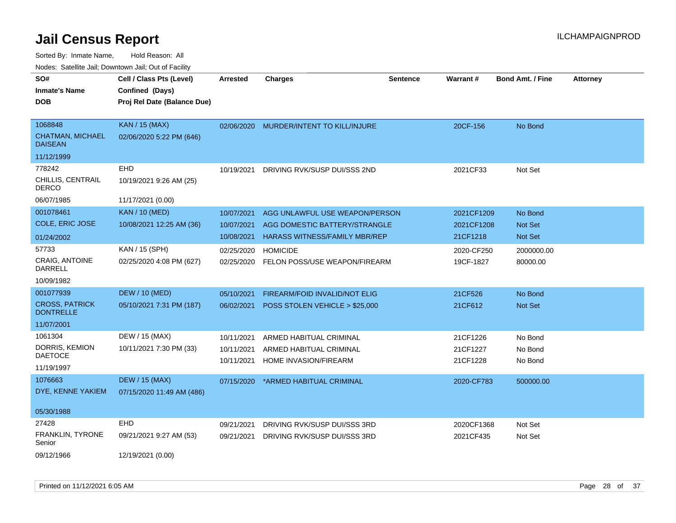| roaco. Catolino dall, Downtown dall, Out of Fability |                                                                            |                          |                                                                 |                 |                          |                           |                 |
|------------------------------------------------------|----------------------------------------------------------------------------|--------------------------|-----------------------------------------------------------------|-----------------|--------------------------|---------------------------|-----------------|
| SO#<br><b>Inmate's Name</b><br><b>DOB</b>            | Cell / Class Pts (Level)<br>Confined (Days)<br>Proj Rel Date (Balance Due) | Arrested                 | <b>Charges</b>                                                  | <b>Sentence</b> | <b>Warrant#</b>          | <b>Bond Amt. / Fine</b>   | <b>Attorney</b> |
| 1068848<br><b>CHATMAN, MICHAEL</b><br><b>DAISEAN</b> | <b>KAN / 15 (MAX)</b><br>02/06/2020 5:22 PM (646)                          | 02/06/2020               | MURDER/INTENT TO KILL/INJURE                                    |                 | 20CF-156                 | No Bond                   |                 |
| 11/12/1999                                           |                                                                            |                          |                                                                 |                 |                          |                           |                 |
| 778242<br>CHILLIS, CENTRAIL<br><b>DERCO</b>          | <b>EHD</b><br>10/19/2021 9:26 AM (25)                                      | 10/19/2021               | DRIVING RVK/SUSP DUI/SSS 2ND                                    |                 | 2021CF33                 | Not Set                   |                 |
| 06/07/1985                                           | 11/17/2021 (0.00)                                                          |                          |                                                                 |                 |                          |                           |                 |
| 001078461<br><b>COLE, ERIC JOSE</b>                  | <b>KAN / 10 (MED)</b><br>10/08/2021 12:25 AM (36)                          | 10/07/2021<br>10/07/2021 | AGG UNLAWFUL USE WEAPON/PERSON<br>AGG DOMESTIC BATTERY/STRANGLE |                 | 2021CF1209<br>2021CF1208 | No Bond<br><b>Not Set</b> |                 |
| 01/24/2002                                           |                                                                            | 10/08/2021               | HARASS WITNESS/FAMILY MBR/REP                                   |                 | 21CF1218                 | Not Set                   |                 |
| 57733<br><b>CRAIG, ANTOINE</b><br>DARRELL            | KAN / 15 (SPH)<br>02/25/2020 4:08 PM (627)                                 | 02/25/2020<br>02/25/2020 | <b>HOMICIDE</b><br>FELON POSS/USE WEAPON/FIREARM                |                 | 2020-CF250<br>19CF-1827  | 2000000.00<br>80000.00    |                 |
| 10/09/1982                                           |                                                                            |                          |                                                                 |                 |                          |                           |                 |
| 001077939                                            | <b>DEW / 10 (MED)</b>                                                      | 05/10/2021               | FIREARM/FOID INVALID/NOT ELIG                                   |                 | 21CF526                  | No Bond                   |                 |
| <b>CROSS, PATRICK</b><br><b>DONTRELLE</b>            | 05/10/2021 7:31 PM (187)                                                   | 06/02/2021               | POSS STOLEN VEHICLE > \$25,000                                  |                 | 21CF612                  | <b>Not Set</b>            |                 |
| 11/07/2001                                           |                                                                            |                          |                                                                 |                 |                          |                           |                 |
| 1061304                                              | DEW / 15 (MAX)                                                             | 10/11/2021               | ARMED HABITUAL CRIMINAL                                         |                 | 21CF1226                 | No Bond                   |                 |
| DORRIS, KEMION<br><b>DAETOCE</b>                     | 10/11/2021 7:30 PM (33)                                                    | 10/11/2021               | ARMED HABITUAL CRIMINAL                                         |                 | 21CF1227                 | No Bond                   |                 |
| 11/19/1997                                           |                                                                            | 10/11/2021               | HOME INVASION/FIREARM                                           |                 | 21CF1228                 | No Bond                   |                 |
| 1076663<br>DYE, KENNE YAKIEM                         | <b>DEW / 15 (MAX)</b><br>07/15/2020 11:49 AM (486)                         | 07/15/2020               | *ARMED HABITUAL CRIMINAL                                        |                 | 2020-CF783               | 500000.00                 |                 |
| 05/30/1988                                           |                                                                            |                          |                                                                 |                 |                          |                           |                 |
| 27428                                                | <b>EHD</b>                                                                 | 09/21/2021               | DRIVING RVK/SUSP DUI/SSS 3RD                                    |                 | 2020CF1368               | Not Set                   |                 |
| <b>FRANKLIN, TYRONE</b><br>Senior                    | 09/21/2021 9:27 AM (53)                                                    | 09/21/2021               | DRIVING RVK/SUSP DUI/SSS 3RD                                    |                 | 2021CF435                | Not Set                   |                 |
| 09/12/1966                                           | 12/19/2021 (0.00)                                                          |                          |                                                                 |                 |                          |                           |                 |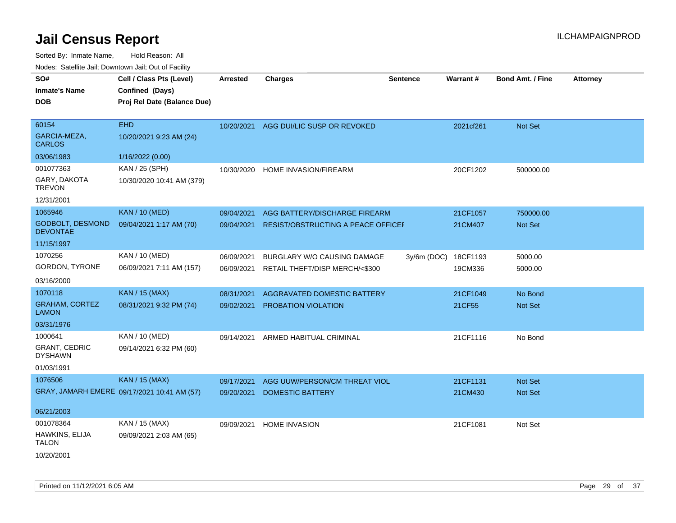| SO#<br><b>Inmate's Name</b><br><b>DOB</b>                | Cell / Class Pts (Level)<br>Confined (Days)<br>Proj Rel Date (Balance Due) | <b>Arrested</b>          | <b>Charges</b>                                                | <b>Sentence</b> | <b>Warrant#</b>     | <b>Bond Amt. / Fine</b> | <b>Attorney</b> |
|----------------------------------------------------------|----------------------------------------------------------------------------|--------------------------|---------------------------------------------------------------|-----------------|---------------------|-------------------------|-----------------|
| 60154<br>GARCIA-MEZA,<br><b>CARLOS</b>                   | <b>EHD</b><br>10/20/2021 9:23 AM (24)                                      | 10/20/2021               | AGG DUI/LIC SUSP OR REVOKED                                   |                 | 2021cf261           | Not Set                 |                 |
| 03/06/1983                                               | 1/16/2022 (0.00)                                                           |                          |                                                               |                 |                     |                         |                 |
| 001077363<br>GARY, DAKOTA<br><b>TREVON</b><br>12/31/2001 | KAN / 25 (SPH)<br>10/30/2020 10:41 AM (379)                                | 10/30/2020               | HOME INVASION/FIREARM                                         |                 | 20CF1202            | 500000.00               |                 |
| 1065946                                                  | <b>KAN / 10 (MED)</b>                                                      | 09/04/2021               | AGG BATTERY/DISCHARGE FIREARM                                 |                 | 21CF1057            | 750000.00               |                 |
| GODBOLT, DESMOND<br><b>DEVONTAE</b>                      | 09/04/2021 1:17 AM (70)                                                    | 09/04/2021               | RESIST/OBSTRUCTING A PEACE OFFICEF                            |                 | 21CM407             | <b>Not Set</b>          |                 |
| 11/15/1997                                               |                                                                            |                          |                                                               |                 |                     |                         |                 |
| 1070256<br>GORDON, TYRONE                                | KAN / 10 (MED)<br>06/09/2021 7:11 AM (157)                                 | 06/09/2021<br>06/09/2021 | BURGLARY W/O CAUSING DAMAGE<br>RETAIL THEFT/DISP MERCH/<\$300 | $3y/6m$ (DOC)   | 18CF1193<br>19CM336 | 5000.00<br>5000.00      |                 |
| 03/16/2000                                               |                                                                            |                          |                                                               |                 |                     |                         |                 |
| 1070118                                                  | <b>KAN / 15 (MAX)</b>                                                      | 08/31/2021               | AGGRAVATED DOMESTIC BATTERY                                   |                 | 21CF1049            | No Bond                 |                 |
| <b>GRAHAM, CORTEZ</b><br><b>LAMON</b>                    | 08/31/2021 9:32 PM (74)                                                    | 09/02/2021               | <b>PROBATION VIOLATION</b>                                    |                 | 21CF55              | Not Set                 |                 |
| 03/31/1976                                               |                                                                            |                          |                                                               |                 |                     |                         |                 |
| 1000641<br><b>GRANT, CEDRIC</b><br><b>DYSHAWN</b>        | KAN / 10 (MED)<br>09/14/2021 6:32 PM (60)                                  | 09/14/2021               | ARMED HABITUAL CRIMINAL                                       |                 | 21CF1116            | No Bond                 |                 |
| 01/03/1991                                               |                                                                            |                          |                                                               |                 |                     |                         |                 |
| 1076506                                                  | <b>KAN / 15 (MAX)</b><br>GRAY, JAMARH EMERE 09/17/2021 10:41 AM (57)       | 09/17/2021<br>09/20/2021 | AGG UUW/PERSON/CM THREAT VIOL<br><b>DOMESTIC BATTERY</b>      |                 | 21CF1131<br>21CM430 | Not Set<br>Not Set      |                 |
| 06/21/2003                                               |                                                                            |                          |                                                               |                 |                     |                         |                 |
| 001078364                                                | KAN / 15 (MAX)                                                             | 09/09/2021               | <b>HOME INVASION</b>                                          |                 | 21CF1081            | Not Set                 |                 |
| HAWKINS, ELIJA<br><b>TALON</b><br>10/20/2001             | 09/09/2021 2:03 AM (65)                                                    |                          |                                                               |                 |                     |                         |                 |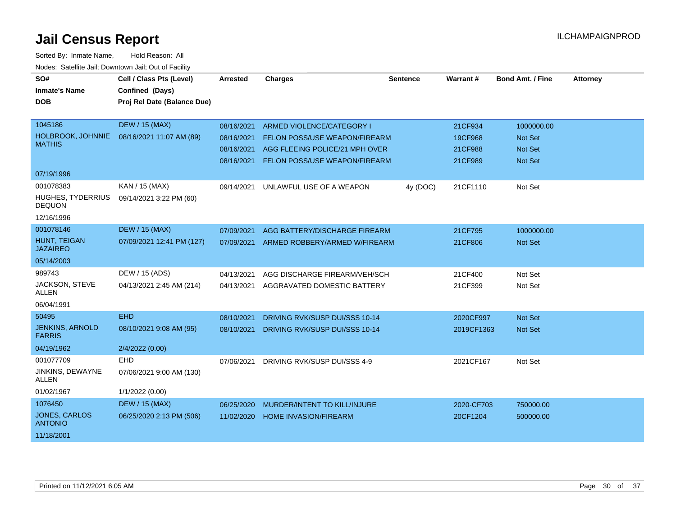| SO#                                     | Cell / Class Pts (Level)    | <b>Arrested</b> | <b>Charges</b>                           | <b>Sentence</b> | Warrant#   | <b>Bond Amt. / Fine</b> | <b>Attorney</b> |
|-----------------------------------------|-----------------------------|-----------------|------------------------------------------|-----------------|------------|-------------------------|-----------------|
| <b>Inmate's Name</b>                    | Confined (Days)             |                 |                                          |                 |            |                         |                 |
| <b>DOB</b>                              | Proj Rel Date (Balance Due) |                 |                                          |                 |            |                         |                 |
|                                         |                             |                 |                                          |                 |            |                         |                 |
| 1045186                                 | <b>DEW / 15 (MAX)</b>       | 08/16/2021      | ARMED VIOLENCE/CATEGORY I                |                 | 21CF934    | 1000000.00              |                 |
| HOLBROOK, JOHNNIE                       | 08/16/2021 11:07 AM (89)    | 08/16/2021      | FELON POSS/USE WEAPON/FIREARM            |                 | 19CF968    | <b>Not Set</b>          |                 |
| <b>MATHIS</b>                           |                             | 08/16/2021      | AGG FLEEING POLICE/21 MPH OVER           |                 | 21CF988    | <b>Not Set</b>          |                 |
|                                         |                             | 08/16/2021      | FELON POSS/USE WEAPON/FIREARM            |                 | 21CF989    | <b>Not Set</b>          |                 |
| 07/19/1996                              |                             |                 |                                          |                 |            |                         |                 |
| 001078383                               | KAN / 15 (MAX)              | 09/14/2021      | UNLAWFUL USE OF A WEAPON                 | 4y (DOC)        | 21CF1110   | Not Set                 |                 |
| HUGHES, TYDERRIUS<br><b>DEQUON</b>      | 09/14/2021 3:22 PM (60)     |                 |                                          |                 |            |                         |                 |
| 12/16/1996                              |                             |                 |                                          |                 |            |                         |                 |
| 001078146                               | <b>DEW / 15 (MAX)</b>       | 07/09/2021      | AGG BATTERY/DISCHARGE FIREARM            |                 | 21CF795    | 1000000.00              |                 |
| HUNT, TEIGAN<br><b>JAZAIREO</b>         | 07/09/2021 12:41 PM (127)   |                 | 07/09/2021 ARMED ROBBERY/ARMED W/FIREARM |                 | 21CF806    | <b>Not Set</b>          |                 |
| 05/14/2003                              |                             |                 |                                          |                 |            |                         |                 |
| 989743                                  | DEW / 15 (ADS)              | 04/13/2021      | AGG DISCHARGE FIREARM/VEH/SCH            |                 | 21CF400    | Not Set                 |                 |
| JACKSON, STEVE<br><b>ALLEN</b>          | 04/13/2021 2:45 AM (214)    | 04/13/2021      | AGGRAVATED DOMESTIC BATTERY              |                 | 21CF399    | Not Set                 |                 |
| 06/04/1991                              |                             |                 |                                          |                 |            |                         |                 |
| 50495                                   | <b>EHD</b>                  | 08/10/2021      | <b>DRIVING RVK/SUSP DUI/SSS 10-14</b>    |                 | 2020CF997  | Not Set                 |                 |
| <b>JENKINS, ARNOLD</b><br><b>FARRIS</b> | 08/10/2021 9:08 AM (95)     | 08/10/2021      | DRIVING RVK/SUSP DUI/SSS 10-14           |                 | 2019CF1363 | <b>Not Set</b>          |                 |
| 04/19/1962                              | 2/4/2022 (0.00)             |                 |                                          |                 |            |                         |                 |
| 001077709                               | <b>EHD</b>                  | 07/06/2021      | DRIVING RVK/SUSP DUI/SSS 4-9             |                 | 2021CF167  | Not Set                 |                 |
| JINKINS, DEWAYNE<br><b>ALLEN</b>        | 07/06/2021 9:00 AM (130)    |                 |                                          |                 |            |                         |                 |
| 01/02/1967                              | 1/1/2022 (0.00)             |                 |                                          |                 |            |                         |                 |
| 1076450                                 | <b>DEW / 15 (MAX)</b>       | 06/25/2020      | MURDER/INTENT TO KILL/INJURE             |                 | 2020-CF703 | 750000.00               |                 |
| JONES, CARLOS<br><b>ANTONIO</b>         | 06/25/2020 2:13 PM (506)    | 11/02/2020      | <b>HOME INVASION/FIREARM</b>             |                 | 20CF1204   | 500000.00               |                 |
| 11/18/2001                              |                             |                 |                                          |                 |            |                         |                 |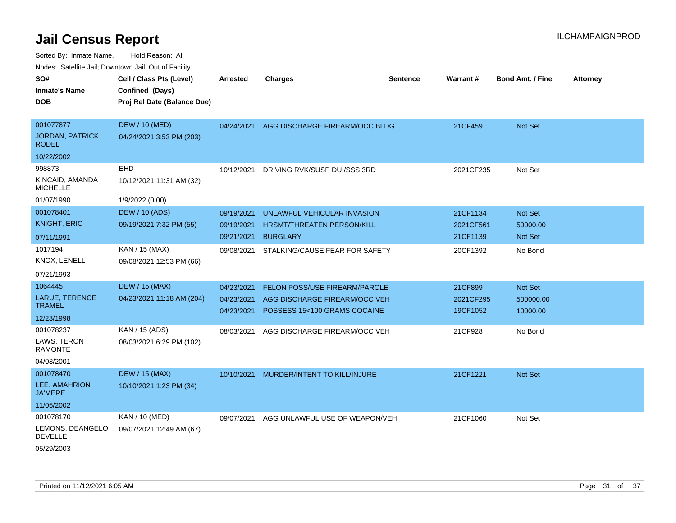| SO#                                    | Cell / Class Pts (Level)    | <b>Arrested</b> | <b>Charges</b>                          | <b>Sentence</b> | Warrant # | <b>Bond Amt. / Fine</b> | <b>Attorney</b> |
|----------------------------------------|-----------------------------|-----------------|-----------------------------------------|-----------------|-----------|-------------------------|-----------------|
| <b>Inmate's Name</b>                   | Confined (Days)             |                 |                                         |                 |           |                         |                 |
| <b>DOB</b>                             | Proj Rel Date (Balance Due) |                 |                                         |                 |           |                         |                 |
|                                        |                             |                 |                                         |                 |           |                         |                 |
| 001077877                              | <b>DEW / 10 (MED)</b>       | 04/24/2021      | AGG DISCHARGE FIREARM/OCC BLDG          |                 | 21CF459   | Not Set                 |                 |
| <b>JORDAN, PATRICK</b><br><b>RODEL</b> | 04/24/2021 3:53 PM (203)    |                 |                                         |                 |           |                         |                 |
| 10/22/2002                             |                             |                 |                                         |                 |           |                         |                 |
| 998873                                 | <b>EHD</b>                  | 10/12/2021      | DRIVING RVK/SUSP DUI/SSS 3RD            |                 | 2021CF235 | Not Set                 |                 |
| KINCAID, AMANDA<br><b>MICHELLE</b>     | 10/12/2021 11:31 AM (32)    |                 |                                         |                 |           |                         |                 |
| 01/07/1990                             | 1/9/2022 (0.00)             |                 |                                         |                 |           |                         |                 |
| 001078401                              | <b>DEW / 10 (ADS)</b>       | 09/19/2021      | UNLAWFUL VEHICULAR INVASION             |                 | 21CF1134  | Not Set                 |                 |
| <b>KNIGHT, ERIC</b>                    | 09/19/2021 7:32 PM (55)     | 09/19/2021      | HRSMT/THREATEN PERSON/KILL              |                 | 2021CF561 | 50000.00                |                 |
| 07/11/1991                             |                             | 09/21/2021      | <b>BURGLARY</b>                         |                 | 21CF1139  | Not Set                 |                 |
| 1017194                                | KAN / 15 (MAX)              | 09/08/2021      | STALKING/CAUSE FEAR FOR SAFETY          |                 | 20CF1392  | No Bond                 |                 |
| KNOX, LENELL                           | 09/08/2021 12:53 PM (66)    |                 |                                         |                 |           |                         |                 |
| 07/21/1993                             |                             |                 |                                         |                 |           |                         |                 |
| 1064445                                | <b>DEW / 15 (MAX)</b>       | 04/23/2021      | FELON POSS/USE FIREARM/PAROLE           |                 | 21CF899   | Not Set                 |                 |
| LARUE, TERENCE                         | 04/23/2021 11:18 AM (204)   | 04/23/2021      | AGG DISCHARGE FIREARM/OCC VEH           |                 | 2021CF295 | 500000.00               |                 |
| <b>TRAMEL</b>                          |                             |                 | 04/23/2021 POSSESS 15<100 GRAMS COCAINE |                 | 19CF1052  | 10000.00                |                 |
| 12/23/1998                             |                             |                 |                                         |                 |           |                         |                 |
| 001078237                              | KAN / 15 (ADS)              | 08/03/2021      | AGG DISCHARGE FIREARM/OCC VEH           |                 | 21CF928   | No Bond                 |                 |
| LAWS, TERON<br><b>RAMONTE</b>          | 08/03/2021 6:29 PM (102)    |                 |                                         |                 |           |                         |                 |
| 04/03/2001                             |                             |                 |                                         |                 |           |                         |                 |
| 001078470                              | <b>DEW / 15 (MAX)</b>       | 10/10/2021      | MURDER/INTENT TO KILL/INJURE            |                 | 21CF1221  | Not Set                 |                 |
| LEE, AMAHRION<br><b>JA'MERE</b>        | 10/10/2021 1:23 PM (34)     |                 |                                         |                 |           |                         |                 |
| 11/05/2002                             |                             |                 |                                         |                 |           |                         |                 |
| 001078170                              | KAN / 10 (MED)              | 09/07/2021      | AGG UNLAWFUL USE OF WEAPON/VEH          |                 | 21CF1060  | Not Set                 |                 |
| LEMONS, DEANGELO<br><b>DEVELLE</b>     | 09/07/2021 12:49 AM (67)    |                 |                                         |                 |           |                         |                 |
| 05/29/2003                             |                             |                 |                                         |                 |           |                         |                 |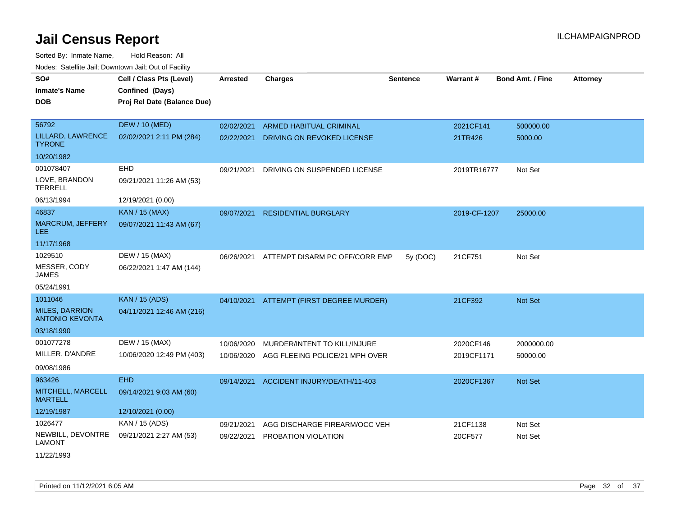Sorted By: Inmate Name, Hold Reason: All Nodes: Satellite Jail; Downtown Jail; Out of Facility

| SO#<br><b>Inmate's Name</b><br><b>DOB</b>       | Cell / Class Pts (Level)<br>Confined (Days)<br>Proj Rel Date (Balance Due) | <b>Arrested</b> | <b>Charges</b>                 | <b>Sentence</b> | Warrant#     | <b>Bond Amt. / Fine</b> | <b>Attorney</b> |
|-------------------------------------------------|----------------------------------------------------------------------------|-----------------|--------------------------------|-----------------|--------------|-------------------------|-----------------|
| 56792                                           | <b>DEW / 10 (MED)</b>                                                      | 02/02/2021      | <b>ARMED HABITUAL CRIMINAL</b> |                 | 2021CF141    | 500000.00               |                 |
| LILLARD, LAWRENCE<br><b>TYRONE</b>              | 02/02/2021 2:11 PM (284)                                                   | 02/22/2021      | DRIVING ON REVOKED LICENSE     |                 | 21TR426      | 5000.00                 |                 |
| 10/20/1982                                      |                                                                            |                 |                                |                 |              |                         |                 |
| 001078407                                       | EHD                                                                        | 09/21/2021      | DRIVING ON SUSPENDED LICENSE   |                 | 2019TR16777  | Not Set                 |                 |
| LOVE, BRANDON<br><b>TERRELL</b>                 | 09/21/2021 11:26 AM (53)                                                   |                 |                                |                 |              |                         |                 |
| 06/13/1994                                      | 12/19/2021 (0.00)                                                          |                 |                                |                 |              |                         |                 |
| 46837                                           | <b>KAN / 15 (MAX)</b>                                                      | 09/07/2021      | <b>RESIDENTIAL BURGLARY</b>    |                 | 2019-CF-1207 | 25000.00                |                 |
| <b>MARCRUM, JEFFERY</b><br>LEE.                 | 09/07/2021 11:43 AM (67)                                                   |                 |                                |                 |              |                         |                 |
| 11/17/1968                                      |                                                                            |                 |                                |                 |              |                         |                 |
| 1029510                                         | DEW / 15 (MAX)                                                             | 06/26/2021      | ATTEMPT DISARM PC OFF/CORR EMP | 5y (DOC)        | 21CF751      | Not Set                 |                 |
| MESSER, CODY<br><b>JAMES</b>                    | 06/22/2021 1:47 AM (144)                                                   |                 |                                |                 |              |                         |                 |
| 05/24/1991                                      |                                                                            |                 |                                |                 |              |                         |                 |
| 1011046                                         | <b>KAN / 15 (ADS)</b>                                                      | 04/10/2021      | ATTEMPT (FIRST DEGREE MURDER)  |                 | 21CF392      | Not Set                 |                 |
| <b>MILES, DARRION</b><br><b>ANTONIO KEVONTA</b> | 04/11/2021 12:46 AM (216)                                                  |                 |                                |                 |              |                         |                 |
| 03/18/1990                                      |                                                                            |                 |                                |                 |              |                         |                 |
| 001077278                                       | DEW / 15 (MAX)                                                             | 10/06/2020      | MURDER/INTENT TO KILL/INJURE   |                 | 2020CF146    | 2000000.00              |                 |
| MILLER, D'ANDRE                                 | 10/06/2020 12:49 PM (403)                                                  | 10/06/2020      | AGG FLEEING POLICE/21 MPH OVER |                 | 2019CF1171   | 50000.00                |                 |
| 09/08/1986                                      |                                                                            |                 |                                |                 |              |                         |                 |
| 963426                                          | <b>EHD</b>                                                                 | 09/14/2021      | ACCIDENT INJURY/DEATH/11-403   |                 | 2020CF1367   | Not Set                 |                 |
| MITCHELL, MARCELL<br><b>MARTELL</b>             | 09/14/2021 9:03 AM (60)                                                    |                 |                                |                 |              |                         |                 |
| 12/19/1987                                      | 12/10/2021 (0.00)                                                          |                 |                                |                 |              |                         |                 |
| 1026477                                         | KAN / 15 (ADS)                                                             | 09/21/2021      | AGG DISCHARGE FIREARM/OCC VEH  |                 | 21CF1138     | Not Set                 |                 |
| NEWBILL, DEVONTRE<br><b>LAMONT</b>              | 09/21/2021 2:27 AM (53)                                                    | 09/22/2021      | PROBATION VIOLATION            |                 | 20CF577      | Not Set                 |                 |

11/22/1993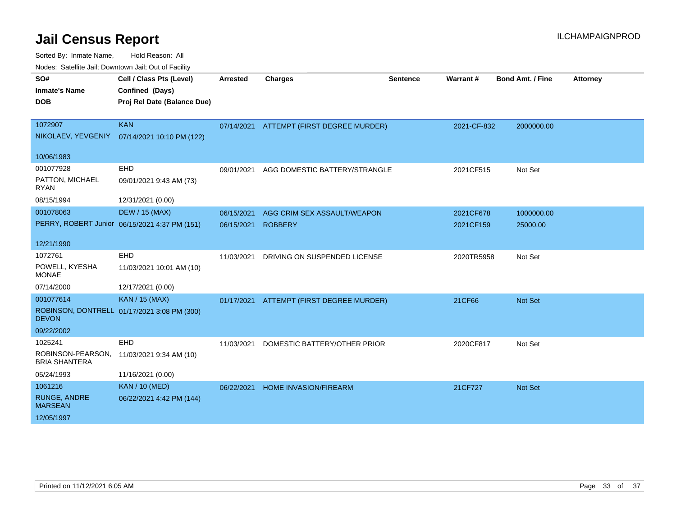Sorted By: Inmate Name, Hold Reason: All

Nodes: Satellite Jail; Downtown Jail; Out of Facility

| SO#<br><b>Inmate's Name</b><br><b>DOB</b> | Cell / Class Pts (Level)<br>Confined (Days)<br>Proj Rel Date (Balance Due) | <b>Arrested</b> | <b>Charges</b>                           | <b>Sentence</b> | Warrant#    | <b>Bond Amt. / Fine</b> | <b>Attorney</b> |
|-------------------------------------------|----------------------------------------------------------------------------|-----------------|------------------------------------------|-----------------|-------------|-------------------------|-----------------|
|                                           |                                                                            |                 |                                          |                 |             |                         |                 |
| 1072907                                   | <b>KAN</b>                                                                 |                 | 07/14/2021 ATTEMPT (FIRST DEGREE MURDER) |                 | 2021-CF-832 | 2000000.00              |                 |
| NIKOLAEV, YEVGENIY                        | 07/14/2021 10:10 PM (122)                                                  |                 |                                          |                 |             |                         |                 |
| 10/06/1983                                |                                                                            |                 |                                          |                 |             |                         |                 |
| 001077928                                 | <b>EHD</b>                                                                 | 09/01/2021      | AGG DOMESTIC BATTERY/STRANGLE            |                 | 2021CF515   | Not Set                 |                 |
| PATTON, MICHAEL<br><b>RYAN</b>            | 09/01/2021 9:43 AM (73)                                                    |                 |                                          |                 |             |                         |                 |
| 08/15/1994                                | 12/31/2021 (0.00)                                                          |                 |                                          |                 |             |                         |                 |
| 001078063                                 | DEW / 15 (MAX)                                                             | 06/15/2021      | AGG CRIM SEX ASSAULT/WEAPON              |                 | 2021CF678   | 1000000.00              |                 |
|                                           | PERRY, ROBERT Junior 06/15/2021 4:37 PM (151)                              | 06/15/2021      | <b>ROBBERY</b>                           |                 | 2021CF159   | 25000.00                |                 |
| 12/21/1990                                |                                                                            |                 |                                          |                 |             |                         |                 |
| 1072761                                   | <b>EHD</b>                                                                 | 11/03/2021      | DRIVING ON SUSPENDED LICENSE             |                 | 2020TR5958  | Not Set                 |                 |
| POWELL, KYESHA<br><b>MONAE</b>            | 11/03/2021 10:01 AM (10)                                                   |                 |                                          |                 |             |                         |                 |
| 07/14/2000                                | 12/17/2021 (0.00)                                                          |                 |                                          |                 |             |                         |                 |
| 001077614                                 | <b>KAN / 15 (MAX)</b>                                                      | 01/17/2021      | ATTEMPT (FIRST DEGREE MURDER)            |                 | 21CF66      | Not Set                 |                 |
| <b>DEVON</b>                              | ROBINSON, DONTRELL 01/17/2021 3:08 PM (300)                                |                 |                                          |                 |             |                         |                 |
| 09/22/2002                                |                                                                            |                 |                                          |                 |             |                         |                 |
| 1025241                                   | EHD                                                                        | 11/03/2021      | DOMESTIC BATTERY/OTHER PRIOR             |                 | 2020CF817   | Not Set                 |                 |
| ROBINSON-PEARSON,<br><b>BRIA SHANTERA</b> | 11/03/2021 9:34 AM (10)                                                    |                 |                                          |                 |             |                         |                 |
| 05/24/1993                                | 11/16/2021 (0.00)                                                          |                 |                                          |                 |             |                         |                 |
| 1061216                                   | <b>KAN / 10 (MED)</b>                                                      | 06/22/2021      | HOME INVASION/FIREARM                    |                 | 21CF727     | <b>Not Set</b>          |                 |
| <b>RUNGE, ANDRE</b><br><b>MARSEAN</b>     | 06/22/2021 4:42 PM (144)                                                   |                 |                                          |                 |             |                         |                 |
| 12/05/1997                                |                                                                            |                 |                                          |                 |             |                         |                 |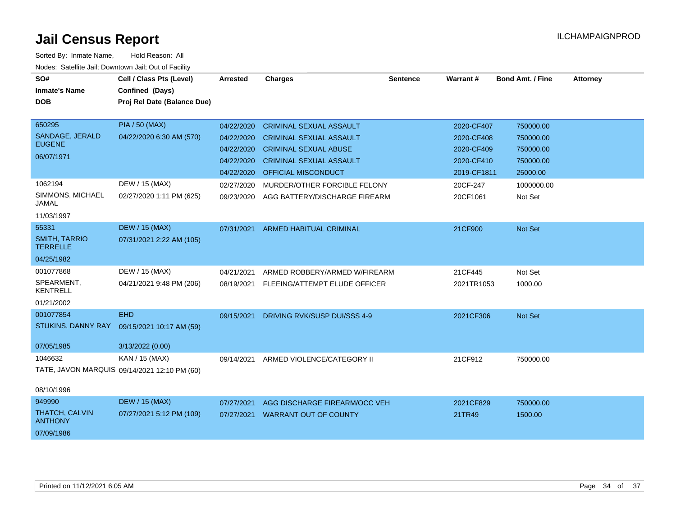| SO#<br><b>Inmate's Name</b>             | Cell / Class Pts (Level)<br>Confined (Days)  | <b>Arrested</b> | <b>Charges</b>                      | <b>Sentence</b> | Warrant#    | <b>Bond Amt. / Fine</b> | <b>Attorney</b> |
|-----------------------------------------|----------------------------------------------|-----------------|-------------------------------------|-----------------|-------------|-------------------------|-----------------|
| <b>DOB</b>                              |                                              |                 |                                     |                 |             |                         |                 |
|                                         | Proj Rel Date (Balance Due)                  |                 |                                     |                 |             |                         |                 |
| 650295                                  | <b>PIA / 50 (MAX)</b>                        | 04/22/2020      | <b>CRIMINAL SEXUAL ASSAULT</b>      |                 | 2020-CF407  | 750000.00               |                 |
| SANDAGE, JERALD                         | 04/22/2020 6:30 AM (570)                     | 04/22/2020      | <b>CRIMINAL SEXUAL ASSAULT</b>      |                 | 2020-CF408  | 750000.00               |                 |
| <b>EUGENE</b>                           |                                              | 04/22/2020      | <b>CRIMINAL SEXUAL ABUSE</b>        |                 | 2020-CF409  | 750000.00               |                 |
| 06/07/1971                              |                                              | 04/22/2020      | <b>CRIMINAL SEXUAL ASSAULT</b>      |                 | 2020-CF410  | 750000.00               |                 |
|                                         |                                              | 04/22/2020      | <b>OFFICIAL MISCONDUCT</b>          |                 | 2019-CF1811 | 25000.00                |                 |
| 1062194                                 | DEW / 15 (MAX)                               | 02/27/2020      | MURDER/OTHER FORCIBLE FELONY        |                 | 20CF-247    | 1000000.00              |                 |
| SIMMONS, MICHAEL                        | 02/27/2020 1:11 PM (625)                     |                 |                                     |                 |             | Not Set                 |                 |
| <b>JAMAL</b>                            |                                              | 09/23/2020      | AGG BATTERY/DISCHARGE FIREARM       |                 | 20CF1061    |                         |                 |
| 11/03/1997                              |                                              |                 |                                     |                 |             |                         |                 |
| 55331                                   | <b>DEW / 15 (MAX)</b>                        | 07/31/2021      | <b>ARMED HABITUAL CRIMINAL</b>      |                 | 21CF900     | <b>Not Set</b>          |                 |
| <b>SMITH, TARRIO</b><br><b>TERRELLE</b> | 07/31/2021 2:22 AM (105)                     |                 |                                     |                 |             |                         |                 |
| 04/25/1982                              |                                              |                 |                                     |                 |             |                         |                 |
| 001077868                               | DEW / 15 (MAX)                               | 04/21/2021      | ARMED ROBBERY/ARMED W/FIREARM       |                 | 21CF445     | Not Set                 |                 |
| SPEARMENT,<br><b>KENTRELL</b>           | 04/21/2021 9:48 PM (206)                     | 08/19/2021      | FLEEING/ATTEMPT ELUDE OFFICER       |                 | 2021TR1053  | 1000.00                 |                 |
| 01/21/2002                              |                                              |                 |                                     |                 |             |                         |                 |
| 001077854                               | <b>EHD</b>                                   | 09/15/2021      | <b>DRIVING RVK/SUSP DUI/SSS 4-9</b> |                 | 2021CF306   | Not Set                 |                 |
| STUKINS, DANNY RAY                      | 09/15/2021 10:17 AM (59)                     |                 |                                     |                 |             |                         |                 |
|                                         |                                              |                 |                                     |                 |             |                         |                 |
| 07/05/1985                              | 3/13/2022 (0.00)                             |                 |                                     |                 |             |                         |                 |
| 1046632                                 | KAN / 15 (MAX)                               | 09/14/2021      | ARMED VIOLENCE/CATEGORY II          |                 | 21CF912     | 750000.00               |                 |
|                                         | TATE, JAVON MARQUIS 09/14/2021 12:10 PM (60) |                 |                                     |                 |             |                         |                 |
| 08/10/1996                              |                                              |                 |                                     |                 |             |                         |                 |
| 949990                                  | <b>DEW / 15 (MAX)</b>                        | 07/27/2021      | AGG DISCHARGE FIREARM/OCC VEH       |                 | 2021CF829   | 750000.00               |                 |
| <b>THATCH, CALVIN</b><br><b>ANTHONY</b> | 07/27/2021 5:12 PM (109)                     | 07/27/2021      | <b>WARRANT OUT OF COUNTY</b>        |                 | 21TR49      | 1500.00                 |                 |
| 07/09/1986                              |                                              |                 |                                     |                 |             |                         |                 |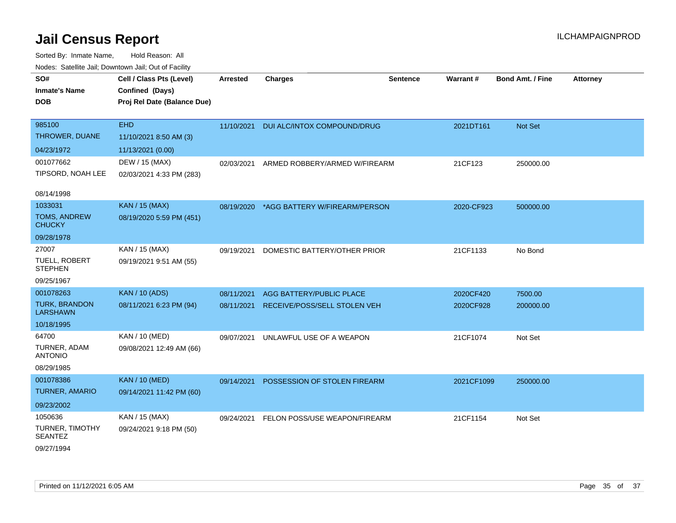| SO#                                     | Cell / Class Pts (Level)    | <b>Arrested</b> | <b>Charges</b>                | <b>Sentence</b> | Warrant#   | <b>Bond Amt. / Fine</b> | <b>Attorney</b> |
|-----------------------------------------|-----------------------------|-----------------|-------------------------------|-----------------|------------|-------------------------|-----------------|
| <b>Inmate's Name</b>                    | Confined (Days)             |                 |                               |                 |            |                         |                 |
| <b>DOB</b>                              | Proj Rel Date (Balance Due) |                 |                               |                 |            |                         |                 |
|                                         |                             |                 |                               |                 |            |                         |                 |
| 985100                                  | <b>EHD</b>                  | 11/10/2021      | DUI ALC/INTOX COMPOUND/DRUG   |                 | 2021DT161  | Not Set                 |                 |
| THROWER, DUANE                          | 11/10/2021 8:50 AM (3)      |                 |                               |                 |            |                         |                 |
| 04/23/1972                              | 11/13/2021 (0.00)           |                 |                               |                 |            |                         |                 |
| 001077662                               | DEW / 15 (MAX)              | 02/03/2021      | ARMED ROBBERY/ARMED W/FIREARM |                 | 21CF123    | 250000.00               |                 |
| TIPSORD, NOAH LEE                       | 02/03/2021 4:33 PM (283)    |                 |                               |                 |            |                         |                 |
| 08/14/1998                              |                             |                 |                               |                 |            |                         |                 |
| 1033031                                 | <b>KAN / 15 (MAX)</b>       | 08/19/2020      | *AGG BATTERY W/FIREARM/PERSON |                 | 2020-CF923 | 500000.00               |                 |
| TOMS, ANDREW<br><b>CHUCKY</b>           | 08/19/2020 5:59 PM (451)    |                 |                               |                 |            |                         |                 |
| 09/28/1978                              |                             |                 |                               |                 |            |                         |                 |
| 27007                                   | KAN / 15 (MAX)              | 09/19/2021      | DOMESTIC BATTERY/OTHER PRIOR  |                 | 21CF1133   | No Bond                 |                 |
| TUELL, ROBERT<br><b>STEPHEN</b>         | 09/19/2021 9:51 AM (55)     |                 |                               |                 |            |                         |                 |
| 09/25/1967                              |                             |                 |                               |                 |            |                         |                 |
| 001078263                               | <b>KAN / 10 (ADS)</b>       | 08/11/2021      | AGG BATTERY/PUBLIC PLACE      |                 | 2020CF420  | 7500.00                 |                 |
| <b>TURK, BRANDON</b><br><b>LARSHAWN</b> | 08/11/2021 6:23 PM (94)     | 08/11/2021      | RECEIVE/POSS/SELL STOLEN VEH  |                 | 2020CF928  | 200000.00               |                 |
| 10/18/1995                              |                             |                 |                               |                 |            |                         |                 |
| 64700                                   | KAN / 10 (MED)              | 09/07/2021      | UNLAWFUL USE OF A WEAPON      |                 | 21CF1074   | Not Set                 |                 |
| TURNER, ADAM<br><b>ANTONIO</b>          | 09/08/2021 12:49 AM (66)    |                 |                               |                 |            |                         |                 |
| 08/29/1985                              |                             |                 |                               |                 |            |                         |                 |
| 001078386                               | <b>KAN / 10 (MED)</b>       | 09/14/2021      | POSSESSION OF STOLEN FIREARM  |                 | 2021CF1099 | 250000.00               |                 |
| <b>TURNER, AMARIO</b>                   | 09/14/2021 11:42 PM (60)    |                 |                               |                 |            |                         |                 |
| 09/23/2002                              |                             |                 |                               |                 |            |                         |                 |
| 1050636                                 | KAN / 15 (MAX)              | 09/24/2021      | FELON POSS/USE WEAPON/FIREARM |                 | 21CF1154   | Not Set                 |                 |
| TURNER, TIMOTHY<br><b>SEANTEZ</b>       | 09/24/2021 9:18 PM (50)     |                 |                               |                 |            |                         |                 |
| 09/27/1994                              |                             |                 |                               |                 |            |                         |                 |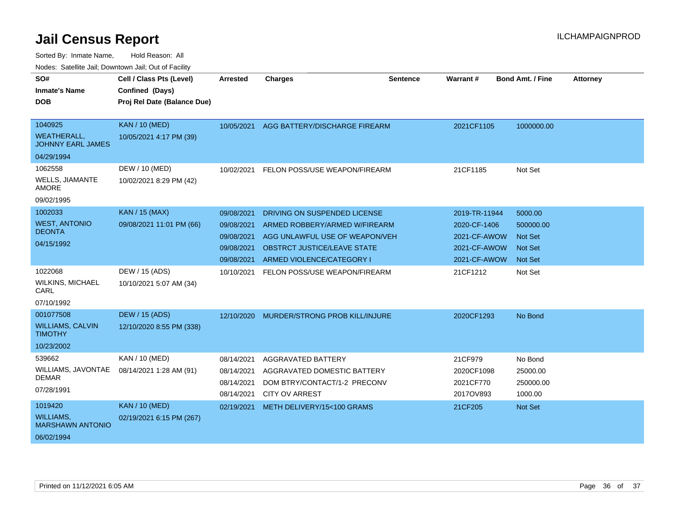Sorted By: Inmate Name, Hold Reason: All

| Nodes: Satellite Jail; Downtown Jail; Out of Facility |                             |                 |                                |                 |               |                         |                 |
|-------------------------------------------------------|-----------------------------|-----------------|--------------------------------|-----------------|---------------|-------------------------|-----------------|
| SO#                                                   | Cell / Class Pts (Level)    | <b>Arrested</b> | <b>Charges</b>                 | <b>Sentence</b> | Warrant#      | <b>Bond Amt. / Fine</b> | <b>Attorney</b> |
| <b>Inmate's Name</b>                                  | Confined (Days)             |                 |                                |                 |               |                         |                 |
| <b>DOB</b>                                            | Proj Rel Date (Balance Due) |                 |                                |                 |               |                         |                 |
|                                                       |                             |                 |                                |                 |               |                         |                 |
| 1040925                                               | <b>KAN / 10 (MED)</b>       | 10/05/2021      | AGG BATTERY/DISCHARGE FIREARM  |                 | 2021CF1105    | 1000000.00              |                 |
| <b>WEATHERALL,</b><br><b>JOHNNY EARL JAMES</b>        | 10/05/2021 4:17 PM (39)     |                 |                                |                 |               |                         |                 |
| 04/29/1994                                            |                             |                 |                                |                 |               |                         |                 |
| 1062558                                               | DEW / 10 (MED)              | 10/02/2021      | FELON POSS/USE WEAPON/FIREARM  |                 | 21CF1185      | Not Set                 |                 |
| <b>WELLS, JIAMANTE</b><br><b>AMORE</b>                | 10/02/2021 8:29 PM (42)     |                 |                                |                 |               |                         |                 |
| 09/02/1995                                            |                             |                 |                                |                 |               |                         |                 |
| 1002033                                               | <b>KAN / 15 (MAX)</b>       | 09/08/2021      | DRIVING ON SUSPENDED LICENSE   |                 | 2019-TR-11944 | 5000.00                 |                 |
| <b>WEST, ANTONIO</b>                                  | 09/08/2021 11:01 PM (66)    | 09/08/2021      | ARMED ROBBERY/ARMED W/FIREARM  |                 | 2020-CF-1406  | 500000.00               |                 |
| <b>DEONTA</b>                                         |                             | 09/08/2021      | AGG UNLAWFUL USE OF WEAPON/VEH |                 | 2021-CF-AWOW  | <b>Not Set</b>          |                 |
| 04/15/1992                                            |                             | 09/08/2021      | OBSTRCT JUSTICE/LEAVE STATE    |                 | 2021-CF-AWOW  | <b>Not Set</b>          |                 |
|                                                       |                             | 09/08/2021      | ARMED VIOLENCE/CATEGORY I      |                 | 2021-CF-AWOW  | <b>Not Set</b>          |                 |
| 1022068                                               | DEW / 15 (ADS)              | 10/10/2021      | FELON POSS/USE WEAPON/FIREARM  |                 | 21CF1212      | Not Set                 |                 |
| <b>WILKINS, MICHAEL</b><br>CARL                       | 10/10/2021 5:07 AM (34)     |                 |                                |                 |               |                         |                 |
| 07/10/1992                                            |                             |                 |                                |                 |               |                         |                 |
| 001077508                                             | <b>DEW / 15 (ADS)</b>       | 12/10/2020      | MURDER/STRONG PROB KILL/INJURE |                 | 2020CF1293    | No Bond                 |                 |
| <b>WILLIAMS, CALVIN</b><br><b>TIMOTHY</b>             | 12/10/2020 8:55 PM (338)    |                 |                                |                 |               |                         |                 |
| 10/23/2002                                            |                             |                 |                                |                 |               |                         |                 |
| 539662                                                | KAN / 10 (MED)              | 08/14/2021      | <b>AGGRAVATED BATTERY</b>      |                 | 21CF979       | No Bond                 |                 |
| WILLIAMS, JAVONTAE                                    | 08/14/2021 1:28 AM (91)     | 08/14/2021      | AGGRAVATED DOMESTIC BATTERY    |                 | 2020CF1098    | 25000.00                |                 |
| <b>DEMAR</b>                                          |                             | 08/14/2021      | DOM BTRY/CONTACT/1-2 PRECONV   |                 | 2021CF770     | 250000.00               |                 |
| 07/28/1991                                            |                             | 08/14/2021      | <b>CITY OV ARREST</b>          |                 | 2017OV893     | 1000.00                 |                 |
| 1019420                                               | <b>KAN / 10 (MED)</b>       | 02/19/2021      | METH DELIVERY/15<100 GRAMS     |                 | 21CF205       | <b>Not Set</b>          |                 |
| WILLIAMS.<br><b>MARSHAWN ANTONIO</b>                  | 02/19/2021 6:15 PM (267)    |                 |                                |                 |               |                         |                 |
| 06/02/1994                                            |                             |                 |                                |                 |               |                         |                 |